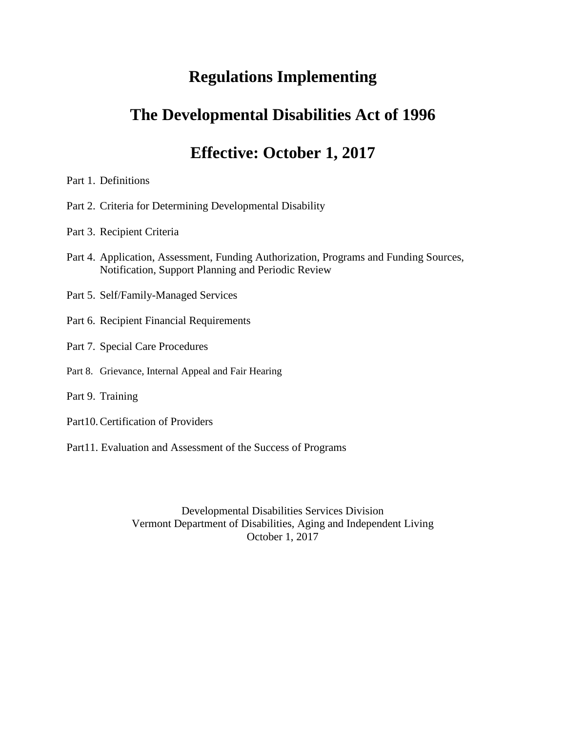# **Regulations Implementing**

# **The Developmental Disabilities Act of 1996**

# **Effective: October 1, 2017**

- Part 1. Definitions
- Part 2. Criteria for Determining Developmental Disability
- Part 3. Recipient Criteria
- Part 4. Application, Assessment, Funding Authorization, Programs and Funding Sources, Notification, Support Planning and Periodic Review
- Part 5. Self/Family-Managed Services
- Part 6. Recipient Financial Requirements
- Part 7. Special Care Procedures
- Part 8. Grievance, Internal Appeal and Fair Hearing
- Part 9. Training
- Part10.Certification of Providers
- Part11. Evaluation and Assessment of the Success of Programs

Developmental Disabilities Services Division Vermont Department of Disabilities, Aging and Independent Living October 1, 2017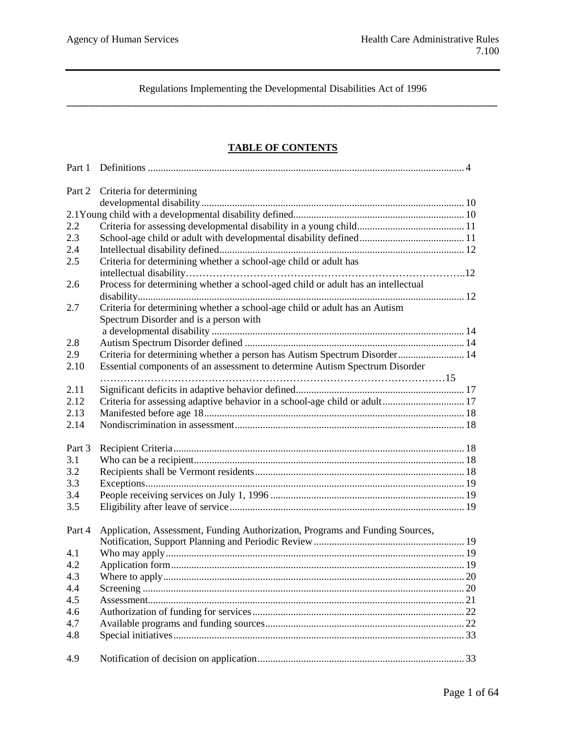## **TABLE OF CONTENTS**

| Part 2 | Criteria for determining                                                         |  |
|--------|----------------------------------------------------------------------------------|--|
|        |                                                                                  |  |
|        |                                                                                  |  |
| 2.2    |                                                                                  |  |
| 2.3    |                                                                                  |  |
| 2.4    |                                                                                  |  |
| 2.5    | Criteria for determining whether a school-age child or adult has                 |  |
|        |                                                                                  |  |
| 2.6    | Process for determining whether a school-aged child or adult has an intellectual |  |
|        |                                                                                  |  |
| 2.7    | Criteria for determining whether a school-age child or adult has an Autism       |  |
|        |                                                                                  |  |
|        | Spectrum Disorder and is a person with                                           |  |
|        |                                                                                  |  |
| 2.8    |                                                                                  |  |
| 2.9    | Criteria for determining whether a person has Autism Spectrum Disorder 14        |  |
| 2.10   | Essential components of an assessment to determine Autism Spectrum Disorder      |  |
|        |                                                                                  |  |
| 2.11   |                                                                                  |  |
| 2.12   | Criteria for assessing adaptive behavior in a school-age child or adult 17       |  |
| 2.13   |                                                                                  |  |
| 2.14   |                                                                                  |  |
| Part 3 |                                                                                  |  |
| 3.1    |                                                                                  |  |
| 3.2    |                                                                                  |  |
| 3.3    |                                                                                  |  |
| 3.4    |                                                                                  |  |
| 3.5    |                                                                                  |  |
|        |                                                                                  |  |
| Part 4 | Application, Assessment, Funding Authorization, Programs and Funding Sources,    |  |
|        |                                                                                  |  |
| 4.1    |                                                                                  |  |
| 4.2    |                                                                                  |  |
| 4.3    |                                                                                  |  |
| 4.4    |                                                                                  |  |
| 4.5    |                                                                                  |  |
| 4.6    |                                                                                  |  |
| 4.7    |                                                                                  |  |
| 4.8    |                                                                                  |  |
|        |                                                                                  |  |
| 4.9    |                                                                                  |  |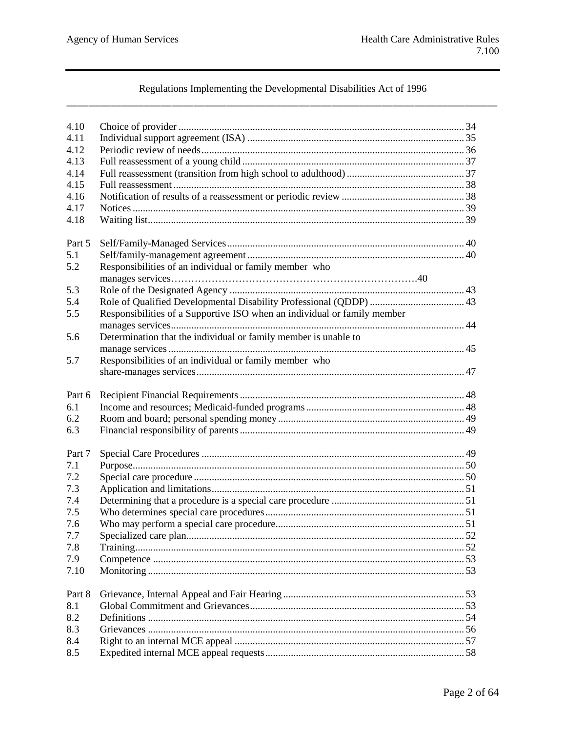## Regulations Implementing the Developmental Disabilities Act of 1996

| 4.10   |                                                                          |  |
|--------|--------------------------------------------------------------------------|--|
| 4.11   |                                                                          |  |
| 4.12   |                                                                          |  |
| 4.13   |                                                                          |  |
| 4.14   |                                                                          |  |
| 4.15   |                                                                          |  |
| 4.16   |                                                                          |  |
| 4.17   |                                                                          |  |
| 4.18   |                                                                          |  |
|        |                                                                          |  |
| Part 5 |                                                                          |  |
| 5.1    |                                                                          |  |
| 5.2    | Responsibilities of an individual or family member who                   |  |
|        |                                                                          |  |
| 5.3    |                                                                          |  |
| 5.4    |                                                                          |  |
| 5.5    | Responsibilities of a Supportive ISO when an individual or family member |  |
|        |                                                                          |  |
| 5.6    | Determination that the individual or family member is unable to          |  |
|        |                                                                          |  |
| 5.7    | Responsibilities of an individual or family member who                   |  |
|        |                                                                          |  |
|        |                                                                          |  |
| Part 6 |                                                                          |  |
| 6.1    |                                                                          |  |
| 6.2    |                                                                          |  |
| 6.3    |                                                                          |  |
|        |                                                                          |  |
| Part 7 |                                                                          |  |
| 7.1    |                                                                          |  |
| 7.2    |                                                                          |  |
| 7.3    |                                                                          |  |
| 7.4    |                                                                          |  |
| 7.5    |                                                                          |  |
| 7.6    |                                                                          |  |
| 7.7    |                                                                          |  |
| 7.8    |                                                                          |  |
| 7.9    |                                                                          |  |
| 7.10   |                                                                          |  |
|        |                                                                          |  |
| Part 8 |                                                                          |  |
| 8.1    |                                                                          |  |
| 8.2    |                                                                          |  |
| 8.3    |                                                                          |  |
| 8.4    |                                                                          |  |
| 8.5    |                                                                          |  |
|        |                                                                          |  |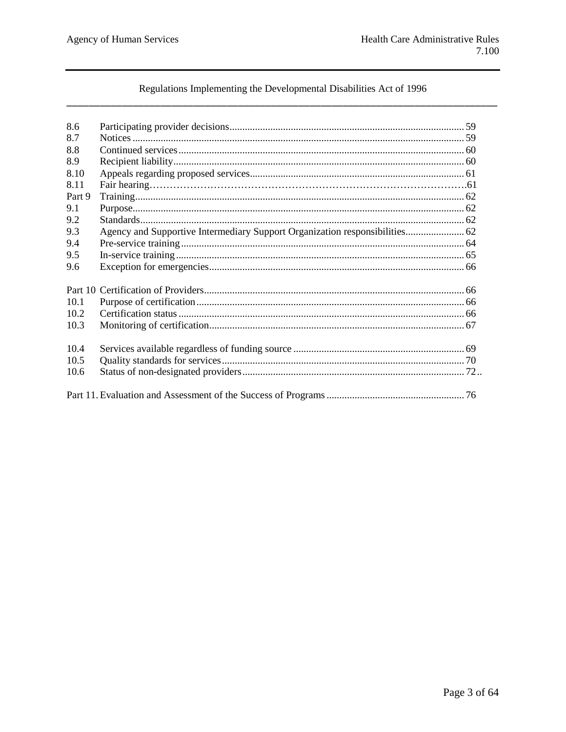## Regulations Implementing the Developmental Disabilities Act of 1996

| 8.6    |                                                                             |  |
|--------|-----------------------------------------------------------------------------|--|
| 8.7    |                                                                             |  |
| 8.8    |                                                                             |  |
| 8.9    |                                                                             |  |
| 8.10   |                                                                             |  |
| 8.11   |                                                                             |  |
| Part 9 |                                                                             |  |
| 9.1    |                                                                             |  |
| 9.2    |                                                                             |  |
| 9.3    | Agency and Supportive Intermediary Support Organization responsibilities 62 |  |
| 9.4    |                                                                             |  |
| 9.5    |                                                                             |  |
| 9.6    |                                                                             |  |
|        |                                                                             |  |
|        |                                                                             |  |
| 10.1   |                                                                             |  |
| 10.2   |                                                                             |  |
| 10.3   |                                                                             |  |
|        |                                                                             |  |
| 10.4   |                                                                             |  |
| 10.5   |                                                                             |  |
| 10.6   |                                                                             |  |
|        |                                                                             |  |
|        |                                                                             |  |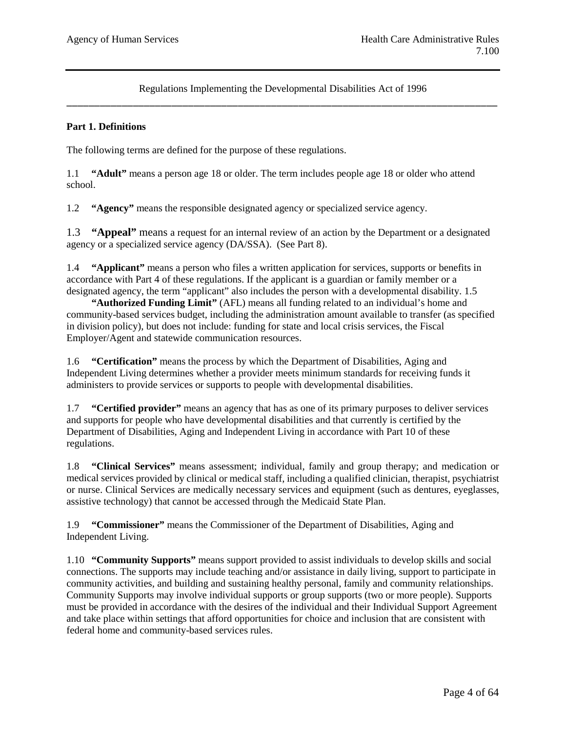## **Part 1. Definitions**

The following terms are defined for the purpose of these regulations.

1.1 **"Adult"** means a person age 18 or older. The term includes people age 18 or older who attend school.

1.2 **"Agency"** means the responsible designated agency or specialized service agency.

1.3 **"Appeal"** means a request for an internal review of an action by the Department or a designated agency or a specialized service agency (DA/SSA). (See Part 8).

1.4 **"Applicant"** means a person who files a written application for services, supports or benefits in accordance with Part 4 of these regulations. If the applicant is a guardian or family member or a designated agency, the term "applicant" also includes the person with a developmental disability. 1.5

**"Authorized Funding Limit"** (AFL) means all funding related to an individual's home and community-based services budget, including the administration amount available to transfer (as specified in division policy), but does not include: funding for state and local crisis services, the Fiscal Employer/Agent and statewide communication resources.

1.6 **"Certification"** means the process by which the Department of Disabilities, Aging and Independent Living determines whether a provider meets minimum standards for receiving funds it administers to provide services or supports to people with developmental disabilities.

1.7 **"Certified provider"** means an agency that has as one of its primary purposes to deliver services and supports for people who have developmental disabilities and that currently is certified by the Department of Disabilities, Aging and Independent Living in accordance with Part 10 of these regulations.

1.8 **"Clinical Services"** means assessment; individual, family and group therapy; and medication or medical services provided by clinical or medical staff, including a qualified clinician, therapist, psychiatrist or nurse. Clinical Services are medically necessary services and equipment (such as dentures, eyeglasses, assistive technology) that cannot be accessed through the Medicaid State Plan.

1.9 **"Commissioner"** means the Commissioner of the Department of Disabilities, Aging and Independent Living.

1.10 **"Community Supports"** means support provided to assist individuals to develop skills and social connections. The supports may include teaching and/or assistance in daily living, support to participate in community activities, and building and sustaining healthy personal, family and community relationships. Community Supports may involve individual supports or group supports (two or more people). Supports must be provided in accordance with the desires of the individual and their Individual Support Agreement and take place within settings that afford opportunities for choice and inclusion that are consistent with federal home and community-based services rules.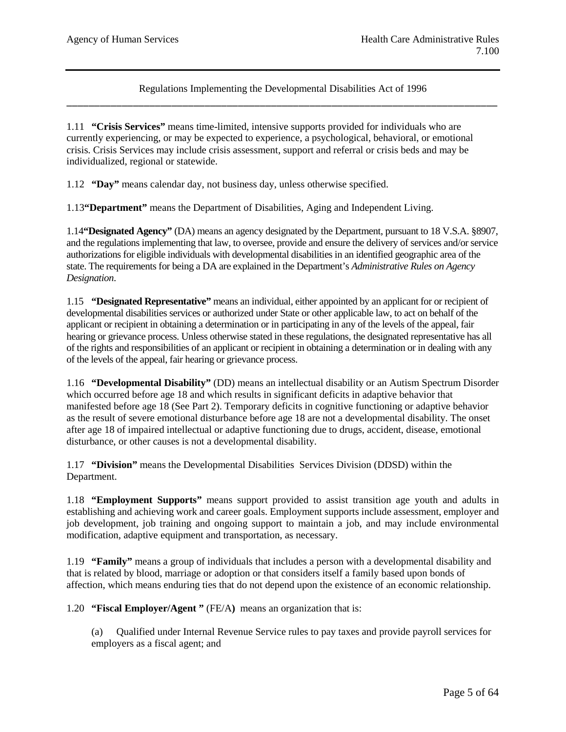1.11 **"Crisis Services"** means time-limited, intensive supports provided for individuals who are currently experiencing, or may be expected to experience, a psychological, behavioral, or emotional crisis. Crisis Services may include crisis assessment, support and referral or crisis beds and may be individualized, regional or statewide.

1.12 **"Day"** means calendar day, not business day, unless otherwise specified.

1.13**"Department"** means the Department of Disabilities, Aging and Independent Living.

1.14**"Designated Agency"** (DA) means an agency designated by the Department, pursuant to 18 V.S.A. §8907, and the regulations implementing that law, to oversee, provide and ensure the delivery of services and/or service authorizations for eligible individuals with developmental disabilities in an identified geographic area of the state. The requirements for being a DA are explained in the Department's *Administrative Rules on Agency Designation*.

1.15 **"Designated Representative"** means an individual, either appointed by an applicant for or recipient of developmental disabilities services or authorized under State or other applicable law, to act on behalf of the applicant or recipient in obtaining a determination or in participating in any of the levels of the appeal, fair hearing or grievance process. Unless otherwise stated in these regulations, the designated representative has all of the rights and responsibilities of an applicant or recipient in obtaining a determination or in dealing with any of the levels of the appeal, fair hearing or grievance process.

1.16 **"Developmental Disability"** (DD) means an intellectual disability or an Autism Spectrum Disorder which occurred before age 18 and which results in significant deficits in adaptive behavior that manifested before age 18 (See Part 2). Temporary deficits in cognitive functioning or adaptive behavior as the result of severe emotional disturbance before age 18 are not a developmental disability. The onset after age 18 of impaired intellectual or adaptive functioning due to drugs, accident, disease, emotional disturbance, or other causes is not a developmental disability.

1.17 **"Division"** means the Developmental Disabilities Services Division (DDSD) within the Department.

1.18 **"Employment Supports"** means support provided to assist transition age youth and adults in establishing and achieving work and career goals. Employment supports include assessment, employer and job development, job training and ongoing support to maintain a job, and may include environmental modification, adaptive equipment and transportation, as necessary.

1.19 **"Family"** means a group of individuals that includes a person with a developmental disability and that is related by blood, marriage or adoption or that considers itself a family based upon bonds of affection, which means enduring ties that do not depend upon the existence of an economic relationship.

1.20 **"Fiscal Employer/Agent "** (FE/A**)** means an organization that is:

(a) Qualified under Internal Revenue Service rules to pay taxes and provide payroll services for employers as a fiscal agent; and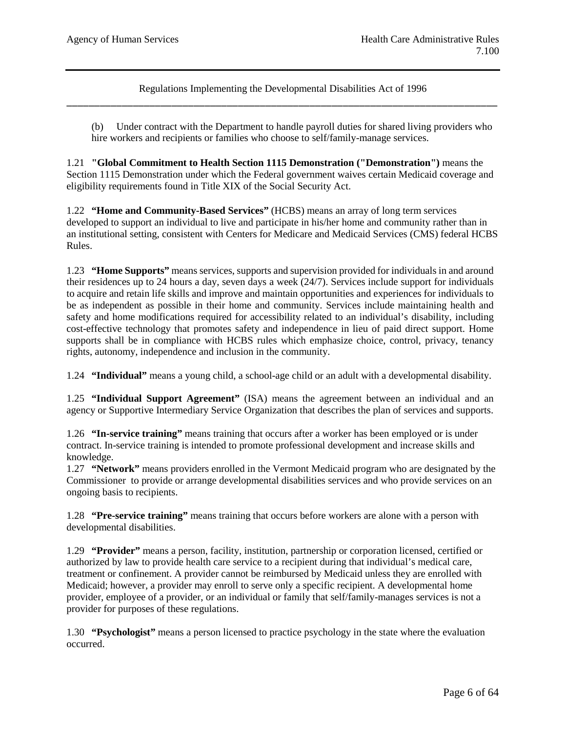(b) Under contract with the Department to handle payroll duties for shared living providers who hire workers and recipients or families who choose to self/family-manage services.

1.21 **"Global Commitment to Health Section 1115 Demonstration ("Demonstration")** means the Section 1115 Demonstration under which the Federal government waives certain Medicaid coverage and eligibility requirements found in Title XIX of the Social Security Act.

1.22 **"Home and Community-Based Services"** (HCBS) means an array of long term services developed to support an individual to live and participate in his/her home and community rather than in an institutional setting, consistent with Centers for Medicare and Medicaid Services (CMS) federal HCBS Rules.

1.23 **"Home Supports"** means services, supports and supervision provided for individuals in and around their residences up to 24 hours a day, seven days a week (24/7). Services include support for individuals to acquire and retain life skills and improve and maintain opportunities and experiences for individuals to be as independent as possible in their home and community. Services include maintaining health and safety and home modifications required for accessibility related to an individual's disability, including cost-effective technology that promotes safety and independence in lieu of paid direct support. Home supports shall be in compliance with HCBS rules which emphasize choice, control, privacy, tenancy rights, autonomy, independence and inclusion in the community.

1.24 **"Individual"** means a young child, a school-age child or an adult with a developmental disability.

1.25 **"Individual Support Agreement"** (ISA) means the agreement between an individual and an agency or Supportive Intermediary Service Organization that describes the plan of services and supports.

1.26 **"In-service training"** means training that occurs after a worker has been employed or is under contract. In-service training is intended to promote professional development and increase skills and knowledge.

1.27 **"Network"** means providers enrolled in the Vermont Medicaid program who are designated by the Commissioner to provide or arrange developmental disabilities services and who provide services on an ongoing basis to recipients.

1.28 **"Pre-service training"** means training that occurs before workers are alone with a person with developmental disabilities.

1.29 **"Provider"** means a person, facility, institution, partnership or corporation licensed, certified or authorized by law to provide health care service to a recipient during that individual's medical care, treatment or confinement. A provider cannot be reimbursed by Medicaid unless they are enrolled with Medicaid; however, a provider may enroll to serve only a specific recipient. A developmental home provider, employee of a provider, or an individual or family that self/family-manages services is not a provider for purposes of these regulations.

1.30 **"Psychologist"** means a person licensed to practice psychology in the state where the evaluation occurred.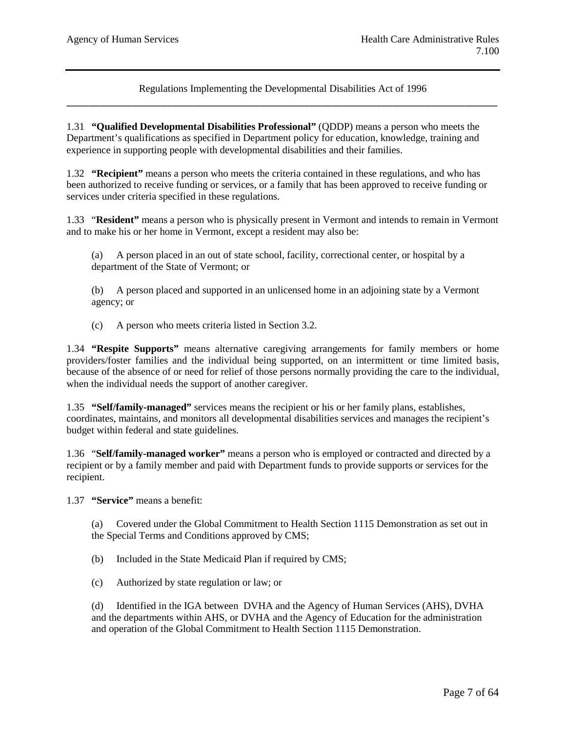1.31 **"Qualified Developmental Disabilities Professional"** (QDDP) means a person who meets the Department's qualifications as specified in Department policy for education, knowledge, training and experience in supporting people with developmental disabilities and their families.

1.32 **"Recipient"** means a person who meets the criteria contained in these regulations, and who has been authorized to receive funding or services, or a family that has been approved to receive funding or services under criteria specified in these regulations.

1.33 "**Resident"** means a person who is physically present in Vermont and intends to remain in Vermont and to make his or her home in Vermont, except a resident may also be:

(a) A person placed in an out of state school, facility, correctional center, or hospital by a department of the State of Vermont; or

(b) A person placed and supported in an unlicensed home in an adjoining state by a Vermont agency; or

(c) A person who meets criteria listed in Section 3.2.

1.34 **"Respite Supports"** means alternative caregiving arrangements for family members or home providers/foster families and the individual being supported, on an intermittent or time limited basis, because of the absence of or need for relief of those persons normally providing the care to the individual, when the individual needs the support of another caregiver.

1.35 **"Self/family-managed"** services means the recipient or his or her family plans, establishes, coordinates, maintains, and monitors all developmental disabilities services and manages the recipient's budget within federal and state guidelines.

1.36 "**Self/family-managed worker"** means a person who is employed or contracted and directed by a recipient or by a family member and paid with Department funds to provide supports or services for the recipient.

1.37 **"Service"** means a benefit:

(a) Covered under the Global Commitment to Health Section 1115 Demonstration as set out in the Special Terms and Conditions approved by CMS;

(b) Included in the State Medicaid Plan if required by CMS;

(c) Authorized by state regulation or law; or

(d) Identified in the IGA between DVHA and the Agency of Human Services (AHS), DVHA and the departments within AHS, or DVHA and the Agency of Education for the administration and operation of the Global Commitment to Health Section 1115 Demonstration.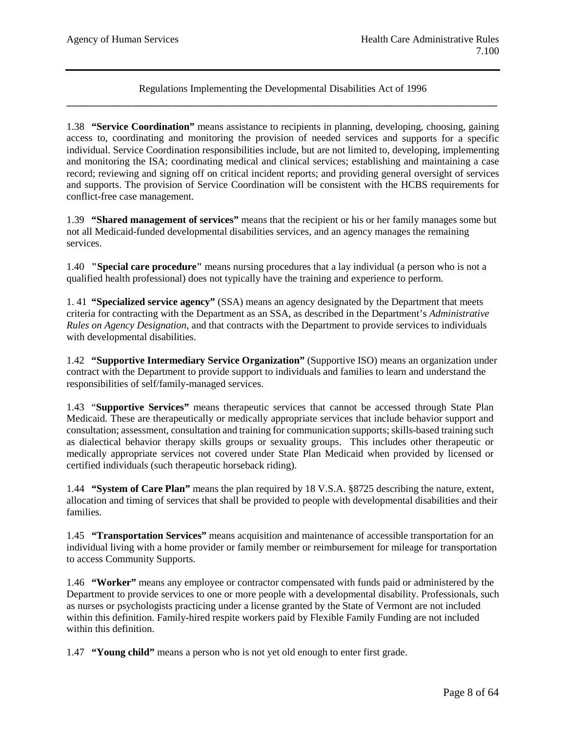1.38 **"Service Coordination"** means assistance to recipients in planning, developing, choosing, gaining access to, coordinating and monitoring the provision of needed services and supports for a specific individual. Service Coordination responsibilities include, but are not limited to, developing, implementing and monitoring the ISA; coordinating medical and clinical services; establishing and maintaining a case record; reviewing and signing off on critical incident reports; and providing general oversight of services and supports. The provision of Service Coordination will be consistent with the HCBS requirements for conflict-free case management.

1.39 **"Shared management of services"** means that the recipient or his or her family manages some but not all Medicaid-funded developmental disabilities services, and an agency manages the remaining services.

1.40 **"Special care procedure"** means nursing procedures that a lay individual (a person who is not a qualified health professional) does not typically have the training and experience to perform.

1. 41 **"Specialized service agency"** (SSA) means an agency designated by the Department that meets criteria for contracting with the Department as an SSA, as described in the Department's *Administrative Rules on Agency Designation*, and that contracts with the Department to provide services to individuals with developmental disabilities.

1.42 **"Supportive Intermediary Service Organization"** (Supportive ISO) means an organization under contract with the Department to provide support to individuals and families to learn and understand the responsibilities of self/family-managed services.

1.43 "**Supportive Services"** means therapeutic services that cannot be accessed through State Plan Medicaid. These are therapeutically or medically appropriate services that include behavior support and consultation; assessment, consultation and training for communication supports; skills-based training such as dialectical behavior therapy skills groups or sexuality groups. This includes other therapeutic or medically appropriate services not covered under State Plan Medicaid when provided by licensed or certified individuals (such therapeutic horseback riding).

1.44 **"System of Care Plan"** means the plan required by 18 V.S.A. §8725 describing the nature, extent, allocation and timing of services that shall be provided to people with developmental disabilities and their families.

1.45 **"Transportation Services"** means acquisition and maintenance of accessible transportation for an individual living with a home provider or family member or reimbursement for mileage for transportation to access Community Supports.

1.46 **"Worker"** means any employee or contractor compensated with funds paid or administered by the Department to provide services to one or more people with a developmental disability. Professionals, such as nurses or psychologists practicing under a license granted by the State of Vermont are not included within this definition. Family-hired respite workers paid by Flexible Family Funding are not included within this definition.

1.47 **"Young child"** means a person who is not yet old enough to enter first grade.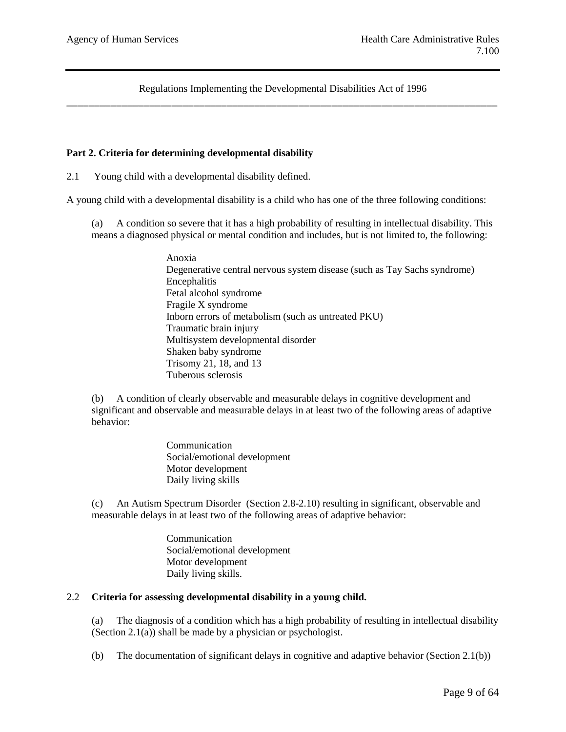## **Part 2. Criteria for determining developmental disability**

2.1 Young child with a developmental disability defined.

A young child with a developmental disability is a child who has one of the three following conditions:

(a) A condition so severe that it has a high probability of resulting in intellectual disability. This means a diagnosed physical or mental condition and includes, but is not limited to, the following:

> Anoxia Degenerative central nervous system disease (such as Tay Sachs syndrome) Encephalitis Fetal alcohol syndrome Fragile X syndrome Inborn errors of metabolism (such as untreated PKU) Traumatic brain injury Multisystem developmental disorder Shaken baby syndrome Trisomy 21, 18, and 13 Tuberous sclerosis

(b) A condition of clearly observable and measurable delays in cognitive development and significant and observable and measurable delays in at least two of the following areas of adaptive behavior:

> Communication Social/emotional development Motor development Daily living skills

(c) An Autism Spectrum Disorder (Section 2.8-2.10) resulting in significant, observable and measurable delays in at least two of the following areas of adaptive behavior:

> Communication Social/emotional development Motor development Daily living skills.

### 2.2 **Criteria for assessing developmental disability in a young child.**

(a) The diagnosis of a condition which has a high probability of resulting in intellectual disability (Section 2.1(a)) shall be made by a physician or psychologist.

(b) The documentation of significant delays in cognitive and adaptive behavior (Section 2.1(b))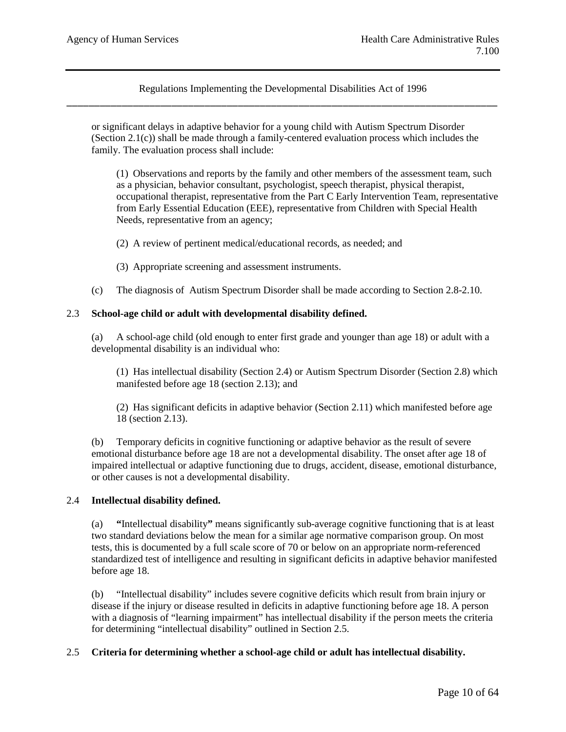or significant delays in adaptive behavior for a young child with Autism Spectrum Disorder (Section 2.1(c)) shall be made through a family-centered evaluation process which includes the family. The evaluation process shall include:

(1) Observations and reports by the family and other members of the assessment team, such as a physician, behavior consultant, psychologist, speech therapist, physical therapist, occupational therapist, representative from the Part C Early Intervention Team, representative from Early Essential Education (EEE), representative from Children with Special Health Needs, representative from an agency;

(2) A review of pertinent medical/educational records, as needed; and

- (3) Appropriate screening and assessment instruments.
- (c) The diagnosis of Autism Spectrum Disorder shall be made according to Section 2.8-2.10.

### 2.3 **School-age child or adult with developmental disability defined.**

(a) A school-age child (old enough to enter first grade and younger than age 18) or adult with a developmental disability is an individual who:

(1) Has intellectual disability (Section 2.4) or Autism Spectrum Disorder (Section 2.8) which manifested before age 18 (section 2.13); and

(2) Has significant deficits in adaptive behavior (Section 2.11) which manifested before age 18 (section 2.13).

(b) Temporary deficits in cognitive functioning or adaptive behavior as the result of severe emotional disturbance before age 18 are not a developmental disability. The onset after age 18 of impaired intellectual or adaptive functioning due to drugs, accident, disease, emotional disturbance, or other causes is not a developmental disability.

### 2.4 **Intellectual disability defined.**

(a) **"**Intellectual disability**"** means significantly sub-average cognitive functioning that is at least two standard deviations below the mean for a similar age normative comparison group. On most tests, this is documented by a full scale score of 70 or below on an appropriate norm-referenced standardized test of intelligence and resulting in significant deficits in adaptive behavior manifested before age 18.

(b) "Intellectual disability" includes severe cognitive deficits which result from brain injury or disease if the injury or disease resulted in deficits in adaptive functioning before age 18. A person with a diagnosis of "learning impairment" has intellectual disability if the person meets the criteria for determining "intellectual disability" outlined in Section 2.5.

### 2.5 **Criteria for determining whether a school-age child or adult has intellectual disability.**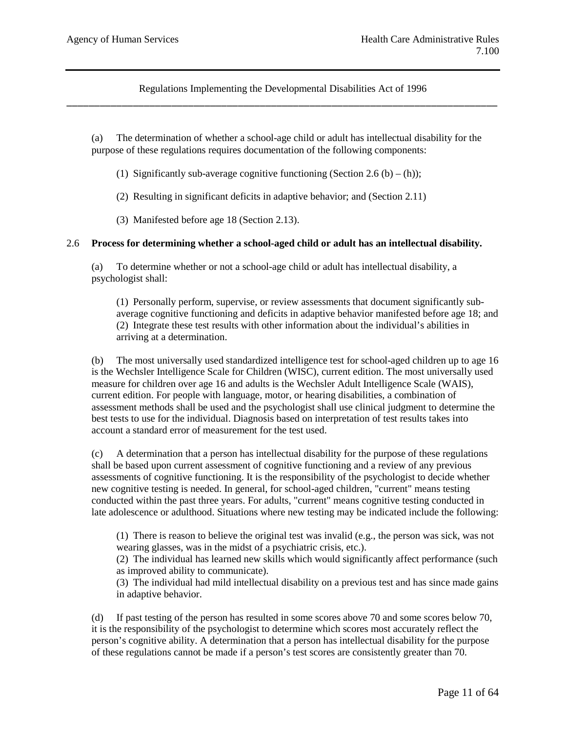(a) The determination of whether a school-age child or adult has intellectual disability for the purpose of these regulations requires documentation of the following components:

(1) Significantly sub-average cognitive functioning (Section 2.6 (b) – (h));

(2) Resulting in significant deficits in adaptive behavior; and (Section 2.11)

(3) Manifested before age 18 (Section 2.13).

#### 2.6 **Process for determining whether a school-aged child or adult has an intellectual disability.**

(a) To determine whether or not a school-age child or adult has intellectual disability, a psychologist shall:

(1) Personally perform, supervise, or review assessments that document significantly subaverage cognitive functioning and deficits in adaptive behavior manifested before age 18; and (2) Integrate these test results with other information about the individual's abilities in arriving at a determination.

(b) The most universally used standardized intelligence test for school-aged children up to age 16 is the Wechsler Intelligence Scale for Children (WISC), current edition. The most universally used measure for children over age 16 and adults is the Wechsler Adult Intelligence Scale (WAIS), current edition. For people with language, motor, or hearing disabilities, a combination of assessment methods shall be used and the psychologist shall use clinical judgment to determine the best tests to use for the individual. Diagnosis based on interpretation of test results takes into account a standard error of measurement for the test used.

(c) A determination that a person has intellectual disability for the purpose of these regulations shall be based upon current assessment of cognitive functioning and a review of any previous assessments of cognitive functioning. It is the responsibility of the psychologist to decide whether new cognitive testing is needed. In general, for school-aged children, "current" means testing conducted within the past three years. For adults, "current" means cognitive testing conducted in late adolescence or adulthood. Situations where new testing may be indicated include the following:

(1) There is reason to believe the original test was invalid (e.g., the person was sick, was not wearing glasses, was in the midst of a psychiatric crisis, etc.).

(2) The individual has learned new skills which would significantly affect performance (such as improved ability to communicate).

(3) The individual had mild intellectual disability on a previous test and has since made gains in adaptive behavior.

(d) If past testing of the person has resulted in some scores above 70 and some scores below 70, it is the responsibility of the psychologist to determine which scores most accurately reflect the person's cognitive ability. A determination that a person has intellectual disability for the purpose of these regulations cannot be made if a person's test scores are consistently greater than 70.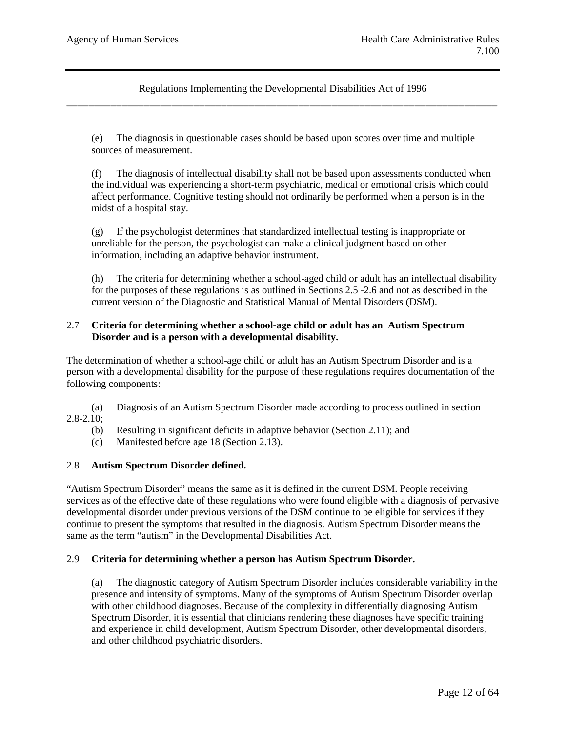(e) The diagnosis in questionable cases should be based upon scores over time and multiple sources of measurement.

(f) The diagnosis of intellectual disability shall not be based upon assessments conducted when the individual was experiencing a short-term psychiatric, medical or emotional crisis which could affect performance. Cognitive testing should not ordinarily be performed when a person is in the midst of a hospital stay.

(g) If the psychologist determines that standardized intellectual testing is inappropriate or unreliable for the person, the psychologist can make a clinical judgment based on other information, including an adaptive behavior instrument.

(h) The criteria for determining whether a school-aged child or adult has an intellectual disability for the purposes of these regulations is as outlined in Sections 2.5 -2.6 and not as described in the current version of the Diagnostic and Statistical Manual of Mental Disorders (DSM).

## 2.7 **Criteria for determining whether a school-age child or adult has an Autism Spectrum Disorder and is a person with a developmental disability.**

The determination of whether a school-age child or adult has an Autism Spectrum Disorder and is a person with a developmental disability for the purpose of these regulations requires documentation of the following components:

(a) Diagnosis of an Autism Spectrum Disorder made according to process outlined in section 2.8-2.10;

- (b) Resulting in significant deficits in adaptive behavior (Section 2.11); and
- (c) Manifested before age 18 (Section 2.13).

### 2.8 **Autism Spectrum Disorder defined.**

"Autism Spectrum Disorder" means the same as it is defined in the current DSM. People receiving services as of the effective date of these regulations who were found eligible with a diagnosis of pervasive developmental disorder under previous versions of the DSM continue to be eligible for services if they continue to present the symptoms that resulted in the diagnosis. Autism Spectrum Disorder means the same as the term "autism" in the Developmental Disabilities Act.

### 2.9 **Criteria for determining whether a person has Autism Spectrum Disorder.**

(a) The diagnostic category of Autism Spectrum Disorder includes considerable variability in the presence and intensity of symptoms. Many of the symptoms of Autism Spectrum Disorder overlap with other childhood diagnoses. Because of the complexity in differentially diagnosing Autism Spectrum Disorder, it is essential that clinicians rendering these diagnoses have specific training and experience in child development, Autism Spectrum Disorder, other developmental disorders, and other childhood psychiatric disorders.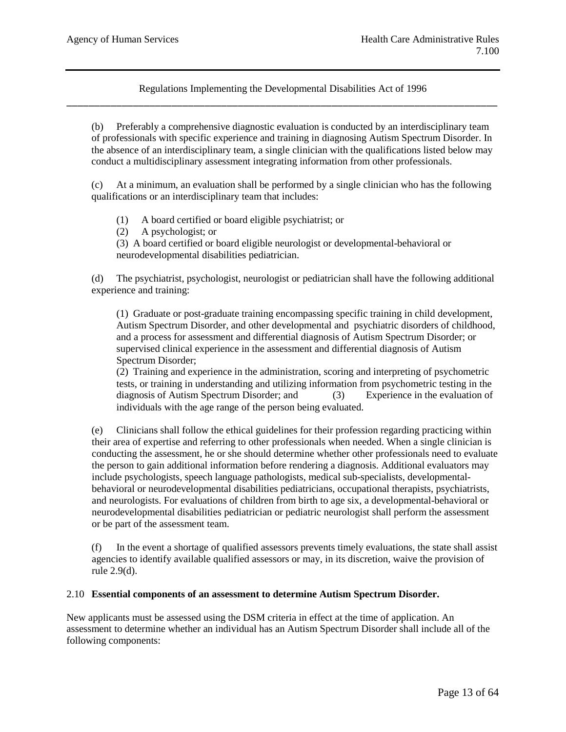(b) Preferably a comprehensive diagnostic evaluation is conducted by an interdisciplinary team of professionals with specific experience and training in diagnosing Autism Spectrum Disorder. In the absence of an interdisciplinary team, a single clinician with the qualifications listed below may conduct a multidisciplinary assessment integrating information from other professionals.

(c) At a minimum, an evaluation shall be performed by a single clinician who has the following qualifications or an interdisciplinary team that includes:

- (1) A board certified or board eligible psychiatrist; or
- (2) A psychologist; or

(3) A board certified or board eligible neurologist or developmental-behavioral or neurodevelopmental disabilities pediatrician.

(d) The psychiatrist, psychologist, neurologist or pediatrician shall have the following additional experience and training:

(1) Graduate or post-graduate training encompassing specific training in child development, Autism Spectrum Disorder, and other developmental and psychiatric disorders of childhood, and a process for assessment and differential diagnosis of Autism Spectrum Disorder; or supervised clinical experience in the assessment and differential diagnosis of Autism Spectrum Disorder;

(2) Training and experience in the administration, scoring and interpreting of psychometric tests, or training in understanding and utilizing information from psychometric testing in the diagnosis of Autism Spectrum Disorder; and (3) Experience in the evaluation of individuals with the age range of the person being evaluated.

(e) Clinicians shall follow the ethical guidelines for their profession regarding practicing within their area of expertise and referring to other professionals when needed. When a single clinician is conducting the assessment, he or she should determine whether other professionals need to evaluate the person to gain additional information before rendering a diagnosis. Additional evaluators may include psychologists, speech language pathologists, medical sub-specialists, developmentalbehavioral or neurodevelopmental disabilities pediatricians, occupational therapists, psychiatrists, and neurologists. For evaluations of children from birth to age six, a developmental-behavioral or neurodevelopmental disabilities pediatrician or pediatric neurologist shall perform the assessment or be part of the assessment team.

(f) In the event a shortage of qualified assessors prevents timely evaluations, the state shall assist agencies to identify available qualified assessors or may, in its discretion, waive the provision of rule 2.9(d).

### 2.10 **Essential components of an assessment to determine Autism Spectrum Disorder.**

New applicants must be assessed using the DSM criteria in effect at the time of application. An assessment to determine whether an individual has an Autism Spectrum Disorder shall include all of the following components: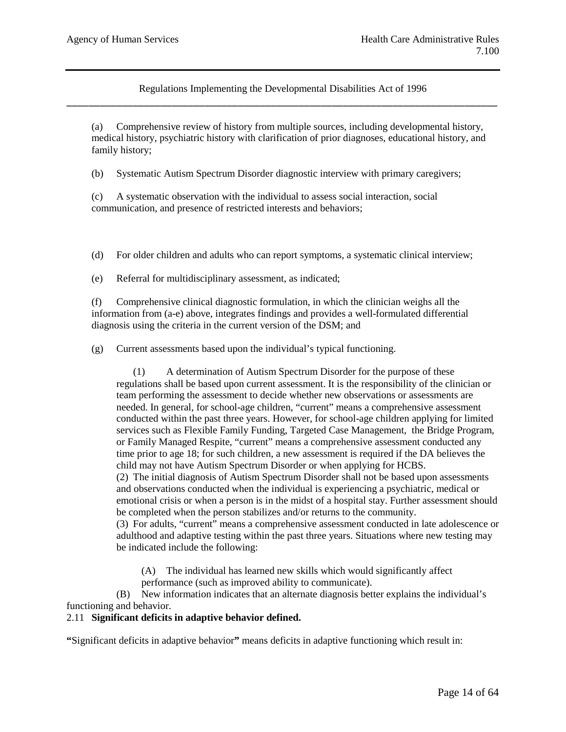(a) Comprehensive review of history from multiple sources, including developmental history, medical history, psychiatric history with clarification of prior diagnoses, educational history, and family history;

(b) Systematic Autism Spectrum Disorder diagnostic interview with primary caregivers;

(c) A systematic observation with the individual to assess social interaction, social communication, and presence of restricted interests and behaviors;

(d) For older children and adults who can report symptoms, a systematic clinical interview;

(e) Referral for multidisciplinary assessment, as indicated;

(f) Comprehensive clinical diagnostic formulation, in which the clinician weighs all the information from (a-e) above, integrates findings and provides a well-formulated differential diagnosis using the criteria in the current version of the DSM; and

(g) Current assessments based upon the individual's typical functioning.

(1) A determination of Autism Spectrum Disorder for the purpose of these regulations shall be based upon current assessment. It is the responsibility of the clinician or team performing the assessment to decide whether new observations or assessments are needed. In general, for school-age children, "current" means a comprehensive assessment conducted within the past three years. However, for school-age children applying for limited services such as Flexible Family Funding, Targeted Case Management, the Bridge Program, or Family Managed Respite, "current" means a comprehensive assessment conducted any time prior to age 18; for such children, a new assessment is required if the DA believes the child may not have Autism Spectrum Disorder or when applying for HCBS.

(2) The initial diagnosis of Autism Spectrum Disorder shall not be based upon assessments and observations conducted when the individual is experiencing a psychiatric, medical or emotional crisis or when a person is in the midst of a hospital stay. Further assessment should be completed when the person stabilizes and/or returns to the community.

(3) For adults, "current" means a comprehensive assessment conducted in late adolescence or adulthood and adaptive testing within the past three years. Situations where new testing may be indicated include the following:

(A) The individual has learned new skills which would significantly affect performance (such as improved ability to communicate).

(B) New information indicates that an alternate diagnosis better explains the individual's functioning and behavior.

### 2.11 **Significant deficits in adaptive behavior defined.**

**"**Significant deficits in adaptive behavior**"** means deficits in adaptive functioning which result in: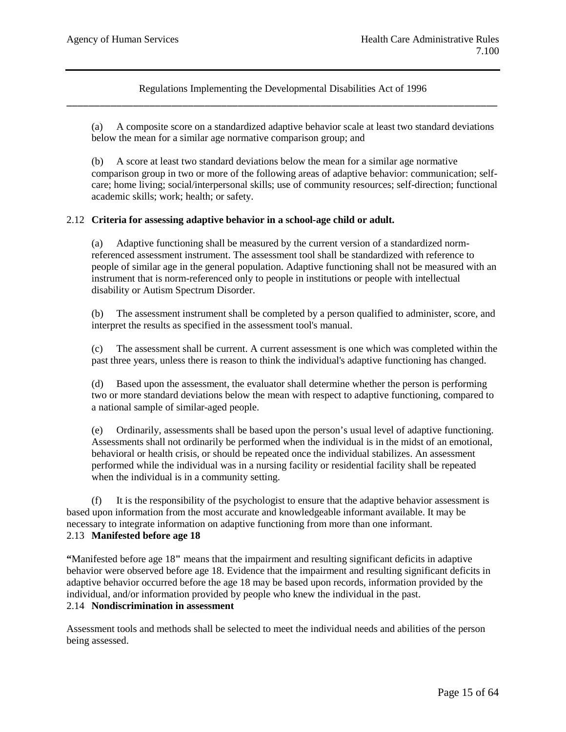(a) A composite score on a standardized adaptive behavior scale at least two standard deviations below the mean for a similar age normative comparison group; and

(b) A score at least two standard deviations below the mean for a similar age normative comparison group in two or more of the following areas of adaptive behavior: communication; selfcare; home living; social/interpersonal skills; use of community resources; self-direction; functional academic skills; work; health; or safety.

### 2.12 **Criteria for assessing adaptive behavior in a school-age child or adult.**

(a) Adaptive functioning shall be measured by the current version of a standardized normreferenced assessment instrument. The assessment tool shall be standardized with reference to people of similar age in the general population. Adaptive functioning shall not be measured with an instrument that is norm-referenced only to people in institutions or people with intellectual disability or Autism Spectrum Disorder.

(b) The assessment instrument shall be completed by a person qualified to administer, score, and interpret the results as specified in the assessment tool's manual.

(c) The assessment shall be current. A current assessment is one which was completed within the past three years, unless there is reason to think the individual's adaptive functioning has changed.

(d) Based upon the assessment, the evaluator shall determine whether the person is performing two or more standard deviations below the mean with respect to adaptive functioning, compared to a national sample of similar-aged people.

(e) Ordinarily, assessments shall be based upon the person's usual level of adaptive functioning. Assessments shall not ordinarily be performed when the individual is in the midst of an emotional, behavioral or health crisis, or should be repeated once the individual stabilizes. An assessment performed while the individual was in a nursing facility or residential facility shall be repeated when the individual is in a community setting.

It is the responsibility of the psychologist to ensure that the adaptive behavior assessment is based upon information from the most accurate and knowledgeable informant available. It may be necessary to integrate information on adaptive functioning from more than one informant. 2.13 **Manifested before age 18**

**"**Manifested before age 18**"** means that the impairment and resulting significant deficits in adaptive behavior were observed before age 18. Evidence that the impairment and resulting significant deficits in adaptive behavior occurred before the age 18 may be based upon records, information provided by the individual, and/or information provided by people who knew the individual in the past. 2.14 **Nondiscrimination in assessment**

Assessment tools and methods shall be selected to meet the individual needs and abilities of the person being assessed.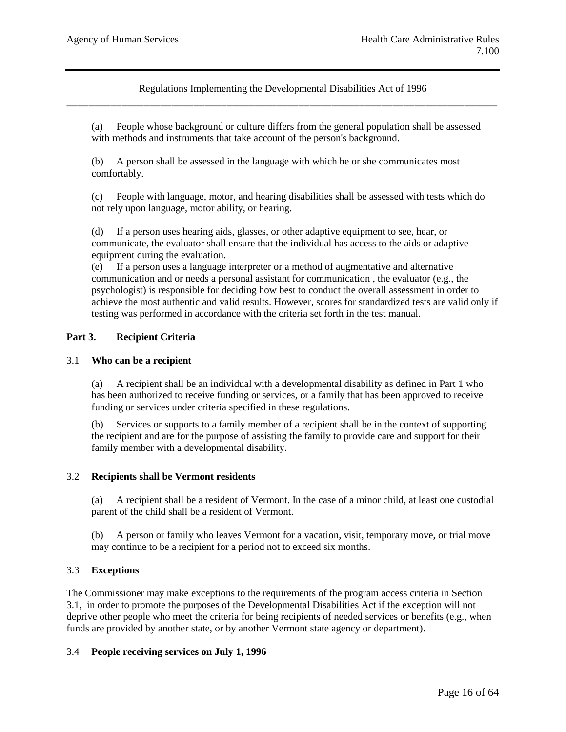(a) People whose background or culture differs from the general population shall be assessed with methods and instruments that take account of the person's background.

(b) A person shall be assessed in the language with which he or she communicates most comfortably.

(c) People with language, motor, and hearing disabilities shall be assessed with tests which do not rely upon language, motor ability, or hearing.

(d) If a person uses hearing aids, glasses, or other adaptive equipment to see, hear, or communicate, the evaluator shall ensure that the individual has access to the aids or adaptive equipment during the evaluation.

(e) If a person uses a language interpreter or a method of augmentative and alternative communication and or needs a personal assistant for communication , the evaluator (e.g., the psychologist) is responsible for deciding how best to conduct the overall assessment in order to achieve the most authentic and valid results. However, scores for standardized tests are valid only if testing was performed in accordance with the criteria set forth in the test manual.

## **Part 3. Recipient Criteria**

### 3.1 **Who can be a recipient**

(a) A recipient shall be an individual with a developmental disability as defined in Part 1 who has been authorized to receive funding or services, or a family that has been approved to receive funding or services under criteria specified in these regulations.

(b) Services or supports to a family member of a recipient shall be in the context of supporting the recipient and are for the purpose of assisting the family to provide care and support for their family member with a developmental disability.

### 3.2 **Recipients shall be Vermont residents**

A recipient shall be a resident of Vermont. In the case of a minor child, at least one custodial parent of the child shall be a resident of Vermont.

(b) A person or family who leaves Vermont for a vacation, visit, temporary move, or trial move may continue to be a recipient for a period not to exceed six months.

### 3.3 **Exceptions**

The Commissioner may make exceptions to the requirements of the program access criteria in Section 3.1, in order to promote the purposes of the Developmental Disabilities Act if the exception will not deprive other people who meet the criteria for being recipients of needed services or benefits (e.g., when funds are provided by another state, or by another Vermont state agency or department).

### 3.4 **People receiving services on July 1, 1996**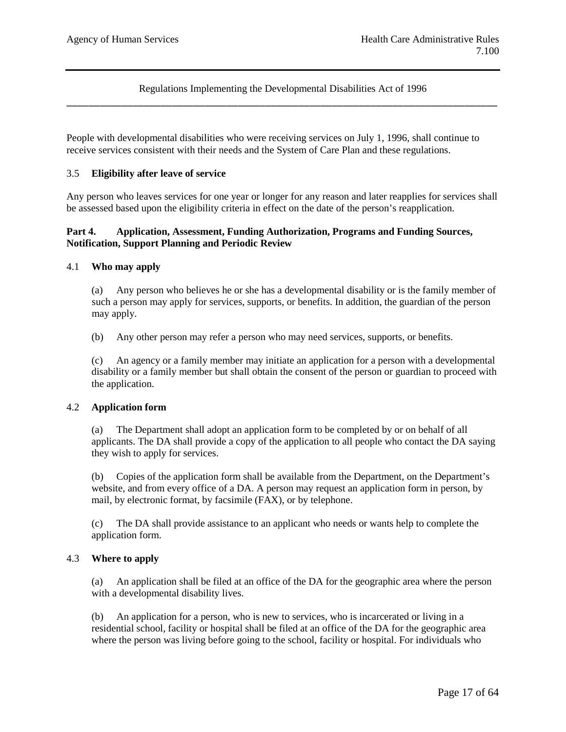People with developmental disabilities who were receiving services on July 1, 1996, shall continue to receive services consistent with their needs and the System of Care Plan and these regulations.

### 3.5 **Eligibility after leave of service**

Any person who leaves services for one year or longer for any reason and later reapplies for services shall be assessed based upon the eligibility criteria in effect on the date of the person's reapplication.

### **Part 4. Application, Assessment, Funding Authorization, Programs and Funding Sources, Notification, Support Planning and Periodic Review**

### 4.1 **Who may apply**

(a) Any person who believes he or she has a developmental disability or is the family member of such a person may apply for services, supports, or benefits. In addition, the guardian of the person may apply.

(b) Any other person may refer a person who may need services, supports, or benefits.

(c) An agency or a family member may initiate an application for a person with a developmental disability or a family member but shall obtain the consent of the person or guardian to proceed with the application.

### 4.2 **Application form**

(a) The Department shall adopt an application form to be completed by or on behalf of all applicants. The DA shall provide a copy of the application to all people who contact the DA saying they wish to apply for services.

(b) Copies of the application form shall be available from the Department, on the Department's website, and from every office of a DA. A person may request an application form in person, by mail, by electronic format, by facsimile (FAX), or by telephone.

(c) The DA shall provide assistance to an applicant who needs or wants help to complete the application form.

### 4.3 **Where to apply**

(a) An application shall be filed at an office of the DA for the geographic area where the person with a developmental disability lives.

(b) An application for a person, who is new to services, who is incarcerated or living in a residential school, facility or hospital shall be filed at an office of the DA for the geographic area where the person was living before going to the school, facility or hospital. For individuals who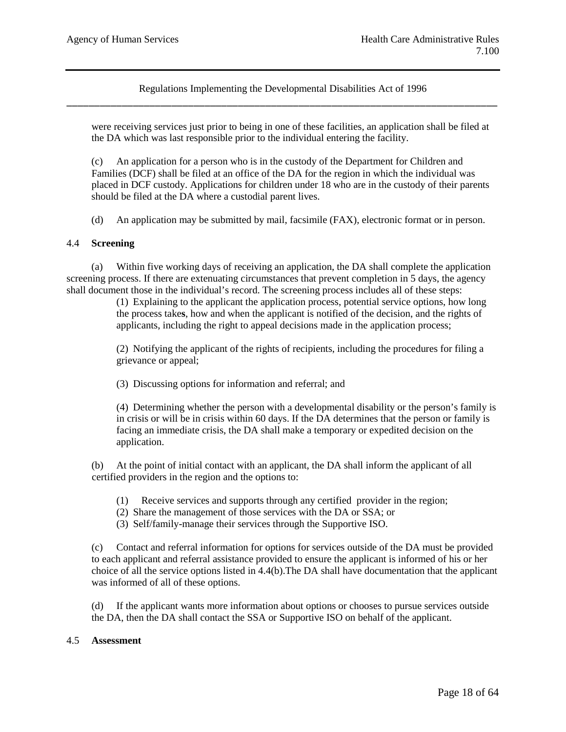were receiving services just prior to being in one of these facilities, an application shall be filed at the DA which was last responsible prior to the individual entering the facility.

(c) An application for a person who is in the custody of the Department for Children and Families (DCF) shall be filed at an office of the DA for the region in which the individual was placed in DCF custody. Applications for children under 18 who are in the custody of their parents should be filed at the DA where a custodial parent lives.

(d) An application may be submitted by mail, facsimile (FAX), electronic format or in person.

### 4.4 **Screening**

(a) Within five working days of receiving an application, the DA shall complete the application screening process. If there are extenuating circumstances that prevent completion in 5 days, the agency shall document those in the individual's record. The screening process includes all of these steps:

> (1) Explaining to the applicant the application process, potential service options, how long the process take**s**, how and when the applicant is notified of the decision, and the rights of applicants, including the right to appeal decisions made in the application process;

> (2) Notifying the applicant of the rights of recipients, including the procedures for filing a grievance or appeal;

(3) Discussing options for information and referral; and

(4) Determining whether the person with a developmental disability or the person's family is in crisis or will be in crisis within 60 days. If the DA determines that the person or family is facing an immediate crisis, the DA shall make a temporary or expedited decision on the application.

(b) At the point of initial contact with an applicant, the DA shall inform the applicant of all certified providers in the region and the options to:

(1) Receive services and supports through any certified provider in the region;

- (2) Share the management of those services with the DA or SSA; or
- (3) Self/family-manage their services through the Supportive ISO.

(c) Contact and referral information for options for services outside of the DA must be provided to each applicant and referral assistance provided to ensure the applicant is informed of his or her choice of all the service options listed in 4.4(b).The DA shall have documentation that the applicant was informed of all of these options.

(d) If the applicant wants more information about options or chooses to pursue services outside the DA, then the DA shall contact the SSA or Supportive ISO on behalf of the applicant.

#### 4.5 **Assessment**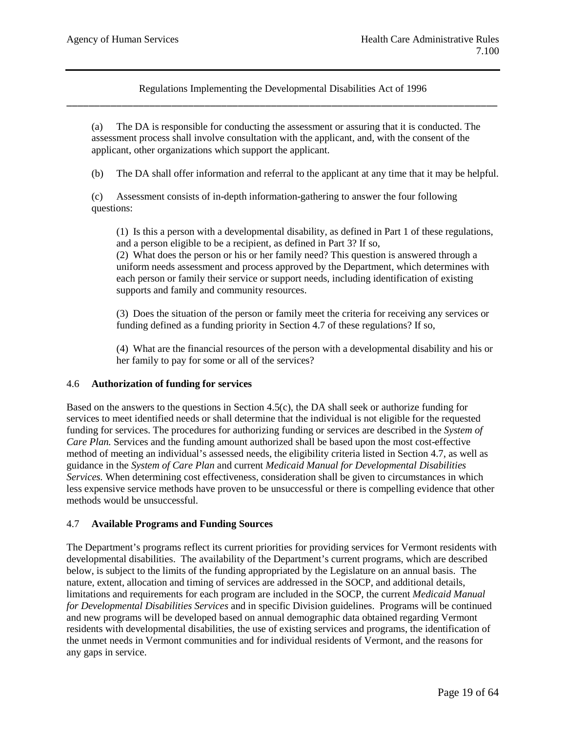(a) The DA is responsible for conducting the assessment or assuring that it is conducted. The assessment process shall involve consultation with the applicant, and, with the consent of the applicant, other organizations which support the applicant.

(b) The DA shall offer information and referral to the applicant at any time that it may be helpful.

(c) Assessment consists of in-depth information-gathering to answer the four following questions:

(1) Is this a person with a developmental disability, as defined in Part 1 of these regulations, and a person eligible to be a recipient, as defined in Part 3? If so,

(2) What does the person or his or her family need? This question is answered through a uniform needs assessment and process approved by the Department, which determines with each person or family their service or support needs, including identification of existing supports and family and community resources.

(3) Does the situation of the person or family meet the criteria for receiving any services or funding defined as a funding priority in Section 4.7 of these regulations? If so,

(4) What are the financial resources of the person with a developmental disability and his or her family to pay for some or all of the services?

### 4.6 **Authorization of funding for services**

Based on the answers to the questions in Section 4.5(c), the DA shall seek or authorize funding for services to meet identified needs or shall determine that the individual is not eligible for the requested funding for services. The procedures for authorizing funding or services are described in the *System of Care Plan.* Services and the funding amount authorized shall be based upon the most cost-effective method of meeting an individual's assessed needs, the eligibility criteria listed in Section 4.7, as well as guidance in the *System of Care Plan* and current *Medicaid Manual for Developmental Disabilities Services.* When determining cost effectiveness, consideration shall be given to circumstances in which less expensive service methods have proven to be unsuccessful or there is compelling evidence that other methods would be unsuccessful.

### 4.7 **Available Programs and Funding Sources**

The Department's programs reflect its current priorities for providing services for Vermont residents with developmental disabilities. The availability of the Department's current programs, which are described below, is subject to the limits of the funding appropriated by the Legislature on an annual basis. The nature, extent, allocation and timing of services are addressed in the SOCP, and additional details, limitations and requirements for each program are included in the SOCP, the current *Medicaid Manual for Developmental Disabilities Services* and in specific Division guidelines. Programs will be continued and new programs will be developed based on annual demographic data obtained regarding Vermont residents with developmental disabilities, the use of existing services and programs, the identification of the unmet needs in Vermont communities and for individual residents of Vermont, and the reasons for any gaps in service.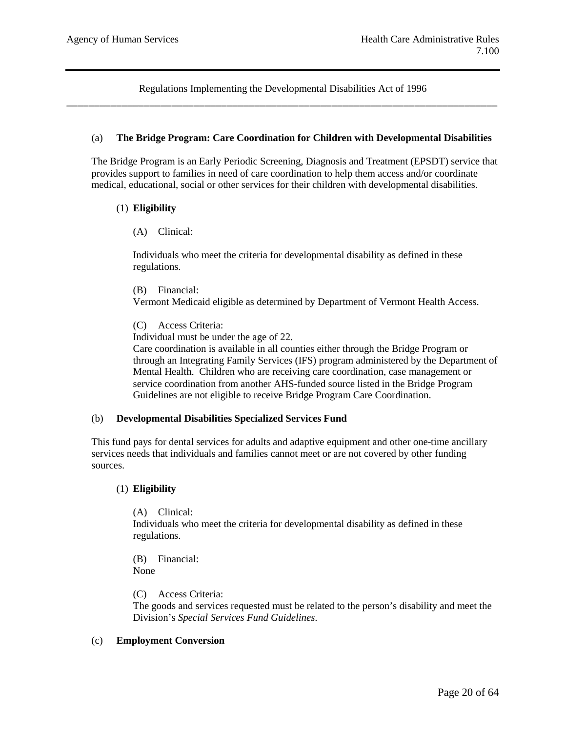### (a) **The Bridge Program: Care Coordination for Children with Developmental Disabilities**

The Bridge Program is an Early Periodic Screening, Diagnosis and Treatment (EPSDT) service that provides support to families in need of care coordination to help them access and/or coordinate medical, educational, social or other services for their children with developmental disabilities.

#### (1) **Eligibility**

(A) Clinical:

Individuals who meet the criteria for developmental disability as defined in these regulations.

(B) Financial:

Vermont Medicaid eligible as determined by Department of Vermont Health Access.

(C) Access Criteria:

Individual must be under the age of 22.

Care coordination is available in all counties either through the Bridge Program or through an Integrating Family Services (IFS) program administered by the Department of Mental Health. Children who are receiving care coordination, case management or service coordination from another AHS-funded source listed in the Bridge Program Guidelines are not eligible to receive Bridge Program Care Coordination.

#### (b) **Developmental Disabilities Specialized Services Fund**

This fund pays for dental services for adults and adaptive equipment and other one-time ancillary services needs that individuals and families cannot meet or are not covered by other funding sources.

#### (1) **Eligibility**

(A) Clinical: Individuals who meet the criteria for developmental disability as defined in these regulations.

(B) Financial: None

(C) Access Criteria:

The goods and services requested must be related to the person's disability and meet the Division's *Special Services Fund Guidelines*.

### (c) **Employment Conversion**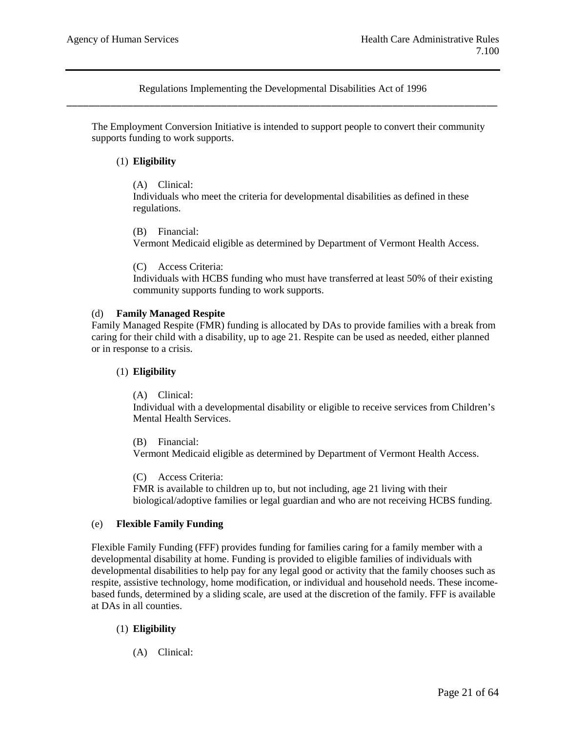The Employment Conversion Initiative is intended to support people to convert their community supports funding to work supports.

## (1) **Eligibility**

### (A) Clinical:

Individuals who meet the criteria for developmental disabilities as defined in these regulations.

(B) Financial:

Vermont Medicaid eligible as determined by Department of Vermont Health Access.

(C) Access Criteria:

Individuals with HCBS funding who must have transferred at least 50% of their existing community supports funding to work supports.

### (d) **Family Managed Respite**

Family Managed Respite (FMR) funding is allocated by DAs to provide families with a break from caring for their child with a disability, up to age 21. Respite can be used as needed, either planned or in response to a crisis.

### (1) **Eligibility**

(A) Clinical:

Individual with a developmental disability or eligible to receive services from Children's Mental Health Services.

(B) Financial: Vermont Medicaid eligible as determined by Department of Vermont Health Access.

(C) Access Criteria: FMR is available to children up to, but not including, age 21 living with their biological/adoptive families or legal guardian and who are not receiving HCBS funding.

### (e) **Flexible Family Funding**

Flexible Family Funding (FFF) provides funding for families caring for a family member with a developmental disability at home. Funding is provided to eligible families of individuals with developmental disabilities to help pay for any legal good or activity that the family chooses such as respite, assistive technology, home modification, or individual and household needs. These incomebased funds, determined by a sliding scale, are used at the discretion of the family. FFF is available at DAs in all counties.

### (1) **Eligibility**

(A) Clinical: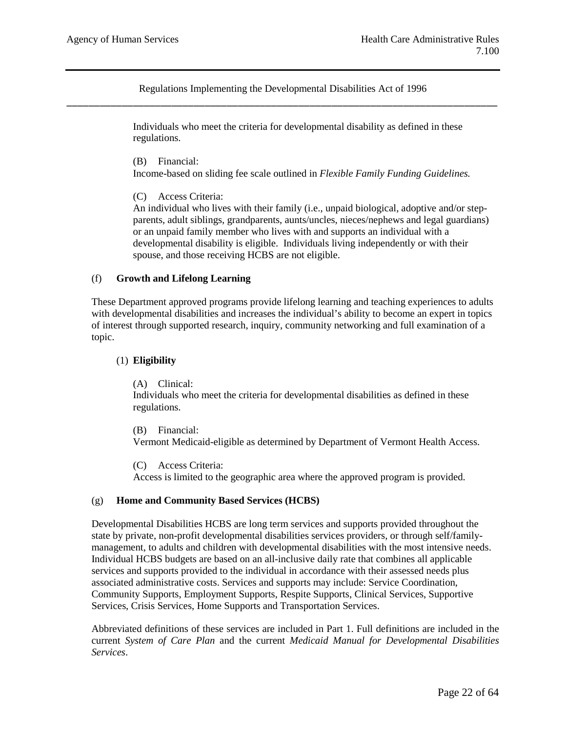> Individuals who meet the criteria for developmental disability as defined in these regulations.

(B) Financial:

Income-based on sliding fee scale outlined in *Flexible Family Funding Guidelines.*

(C) Access Criteria:

An individual who lives with their family (i.e., unpaid biological, adoptive and/or stepparents, adult siblings, grandparents, aunts/uncles, nieces/nephews and legal guardians) or an unpaid family member who lives with and supports an individual with a developmental disability is eligible. Individuals living independently or with their spouse, and those receiving HCBS are not eligible.

## (f) **Growth and Lifelong Learning**

These Department approved programs provide lifelong learning and teaching experiences to adults with developmental disabilities and increases the individual's ability to become an expert in topics of interest through supported research, inquiry, community networking and full examination of a topic.

## (1) **Eligibility**

(A) Clinical:

Individuals who meet the criteria for developmental disabilities as defined in these regulations.

(B) Financial:

Vermont Medicaid-eligible as determined by Department of Vermont Health Access.

(C) Access Criteria:

Access is limited to the geographic area where the approved program is provided.

### (g) **Home and Community Based Services (HCBS)**

Developmental Disabilities HCBS are long term services and supports provided throughout the state by private, non-profit developmental disabilities services providers, or through self/familymanagement, to adults and children with developmental disabilities with the most intensive needs. Individual HCBS budgets are based on an all-inclusive daily rate that combines all applicable services and supports provided to the individual in accordance with their assessed needs plus associated administrative costs. Services and supports may include: Service Coordination, Community Supports, Employment Supports, Respite Supports, Clinical Services, Supportive Services, Crisis Services, Home Supports and Transportation Services.

Abbreviated definitions of these services are included in Part 1. Full definitions are included in the current *System of Care Plan* and the current *Medicaid Manual for Developmental Disabilities Services*.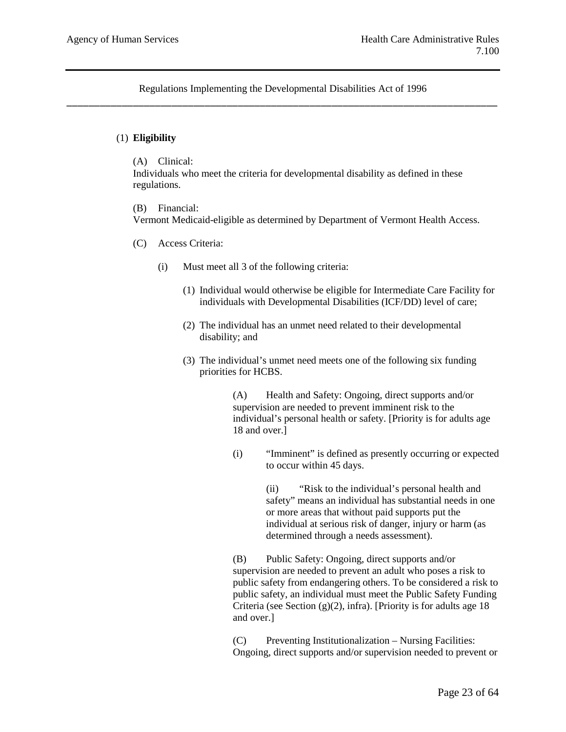## (1) **Eligibility**

(A) Clinical:

Individuals who meet the criteria for developmental disability as defined in these regulations.

(B) Financial:

Vermont Medicaid-eligible as determined by Department of Vermont Health Access.

- (C) Access Criteria:
	- (i) Must meet all 3 of the following criteria:
		- (1) Individual would otherwise be eligible for Intermediate Care Facility for individuals with Developmental Disabilities (ICF/DD) level of care;
		- (2) The individual has an unmet need related to their developmental disability; and
		- (3) The individual's unmet need meets one of the following six funding priorities for HCBS.

(A) Health and Safety: Ongoing, direct supports and/or supervision are needed to prevent imminent risk to the individual's personal health or safety. [Priority is for adults age 18 and over.]

(i) "Imminent" is defined as presently occurring or expected to occur within 45 days.

> (ii) "Risk to the individual's personal health and safety" means an individual has substantial needs in one or more areas that without paid supports put the individual at serious risk of danger, injury or harm (as determined through a needs assessment).

(B) Public Safety: Ongoing, direct supports and/or supervision are needed to prevent an adult who poses a risk to public safety from endangering others. To be considered a risk to public safety, an individual must meet the Public Safety Funding Criteria (see Section  $(g)(2)$ , infra). [Priority is for adults age 18 and over.]

(C) Preventing Institutionalization – Nursing Facilities: Ongoing, direct supports and/or supervision needed to prevent or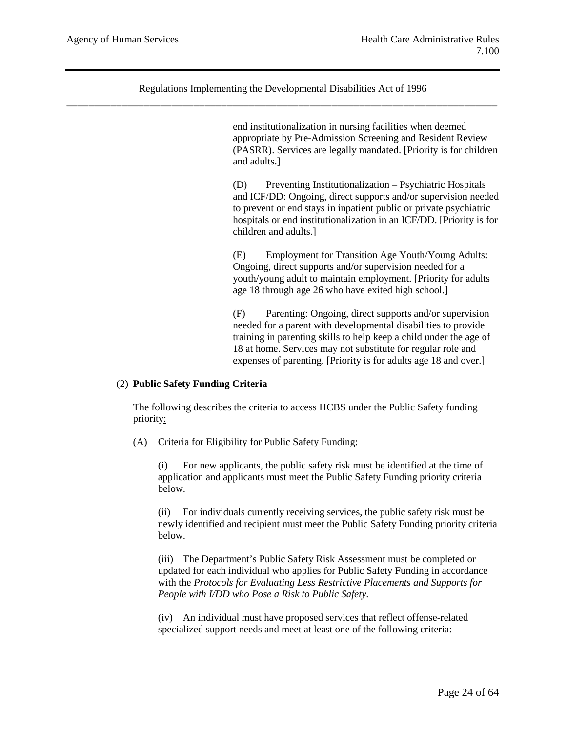> end institutionalization in nursing facilities when deemed appropriate by Pre-Admission Screening and Resident Review (PASRR). Services are legally mandated. [Priority is for children and adults.]

> (D) Preventing Institutionalization – Psychiatric Hospitals and ICF/DD: Ongoing, direct supports and/or supervision needed to prevent or end stays in inpatient public or private psychiatric hospitals or end institutionalization in an ICF/DD. [Priority is for children and adults.]

(E) Employment for Transition Age Youth/Young Adults: Ongoing, direct supports and/or supervision needed for a youth/young adult to maintain employment. [Priority for adults age 18 through age 26 who have exited high school.]

(F) Parenting: Ongoing, direct supports and/or supervision needed for a parent with developmental disabilities to provide training in parenting skills to help keep a child under the age of 18 at home. Services may not substitute for regular role and expenses of parenting. [Priority is for adults age 18 and over.]

### (2) **Public Safety Funding Criteria**

The following describes the criteria to access HCBS under the Public Safety funding priority:

(A) Criteria for Eligibility for Public Safety Funding:

(i) For new applicants, the public safety risk must be identified at the time of application and applicants must meet the Public Safety Funding priority criteria below.

(ii) For individuals currently receiving services, the public safety risk must be newly identified and recipient must meet the Public Safety Funding priority criteria below.

(iii) The Department's Public Safety Risk Assessment must be completed or updated for each individual who applies for Public Safety Funding in accordance with the *Protocols for Evaluating Less Restrictive Placements and Supports for People with I/DD who Pose a Risk to Public Safety*.

(iv) An individual must have proposed services that reflect offense-related specialized support needs and meet at least one of the following criteria: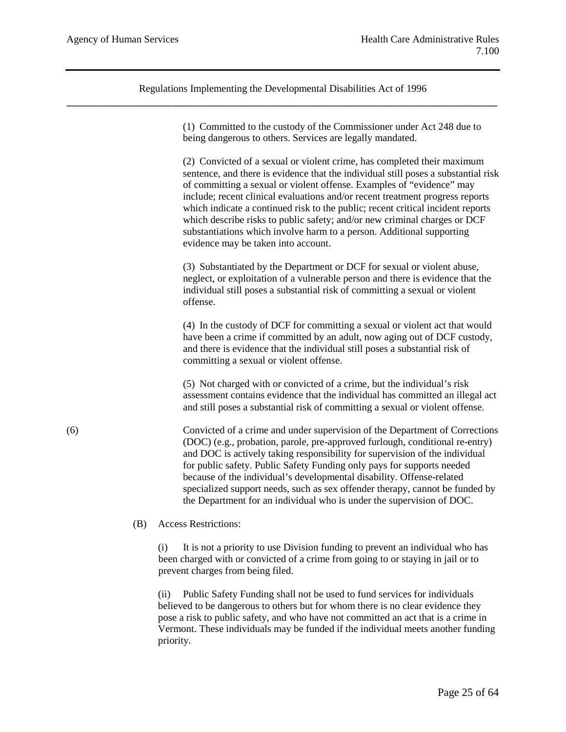> (1) Committed to the custody of the Commissioner under Act 248 due to being dangerous to others. Services are legally mandated.

(2) Convicted of a sexual or violent crime, has completed their maximum sentence, and there is evidence that the individual still poses a substantial risk of committing a sexual or violent offense. Examples of "evidence" may include; recent clinical evaluations and/or recent treatment progress reports which indicate a continued risk to the public; recent critical incident reports which describe risks to public safety; and/or new criminal charges or DCF substantiations which involve harm to a person. Additional supporting evidence may be taken into account.

(3) Substantiated by the Department or DCF for sexual or violent abuse, neglect, or exploitation of a vulnerable person and there is evidence that the individual still poses a substantial risk of committing a sexual or violent offense.

(4) In the custody of DCF for committing a sexual or violent act that would have been a crime if committed by an adult, now aging out of DCF custody, and there is evidence that the individual still poses a substantial risk of committing a sexual or violent offense.

(5) Not charged with or convicted of a crime, but the individual's risk assessment contains evidence that the individual has committed an illegal act and still poses a substantial risk of committing a sexual or violent offense.

(6) Convicted of a crime and under supervision of the Department of Corrections (DOC) (e.g., probation, parole, pre-approved furlough, conditional re-entry) and DOC is actively taking responsibility for supervision of the individual for public safety. Public Safety Funding only pays for supports needed because of the individual's developmental disability. Offense-related specialized support needs, such as sex offender therapy, cannot be funded by the Department for an individual who is under the supervision of DOC.

(B) Access Restrictions:

(i) It is not a priority to use Division funding to prevent an individual who has been charged with or convicted of a crime from going to or staying in jail or to prevent charges from being filed.

(ii) Public Safety Funding shall not be used to fund services for individuals believed to be dangerous to others but for whom there is no clear evidence they pose a risk to public safety, and who have not committed an act that is a crime in Vermont. These individuals may be funded if the individual meets another funding priority.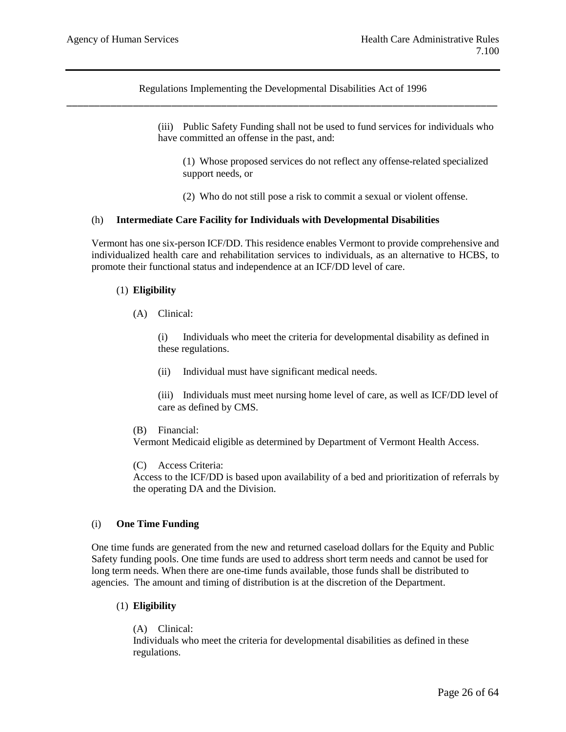> (iii) Public Safety Funding shall not be used to fund services for individuals who have committed an offense in the past, and:

(1) Whose proposed services do not reflect any offense-related specialized support needs, or

(2) Who do not still pose a risk to commit a sexual or violent offense.

### (h) **Intermediate Care Facility for Individuals with Developmental Disabilities**

Vermont has one six-person ICF/DD. This residence enables Vermont to provide comprehensive and individualized health care and rehabilitation services to individuals, as an alternative to HCBS, to promote their functional status and independence at an ICF/DD level of care.

### (1) **Eligibility**

(A) Clinical:

(i) Individuals who meet the criteria for developmental disability as defined in these regulations.

(ii) Individual must have significant medical needs.

(iii) Individuals must meet nursing home level of care, as well as ICF/DD level of care as defined by CMS.

(B) Financial:

Vermont Medicaid eligible as determined by Department of Vermont Health Access.

(C) Access Criteria:

Access to the ICF/DD is based upon availability of a bed and prioritization of referrals by the operating DA and the Division.

### (i) **One Time Funding**

One time funds are generated from the new and returned caseload dollars for the Equity and Public Safety funding pools. One time funds are used to address short term needs and cannot be used for long term needs. When there are one-time funds available, those funds shall be distributed to agencies. The amount and timing of distribution is at the discretion of the Department.

## (1) **Eligibility**

(A) Clinical:

Individuals who meet the criteria for developmental disabilities as defined in these regulations.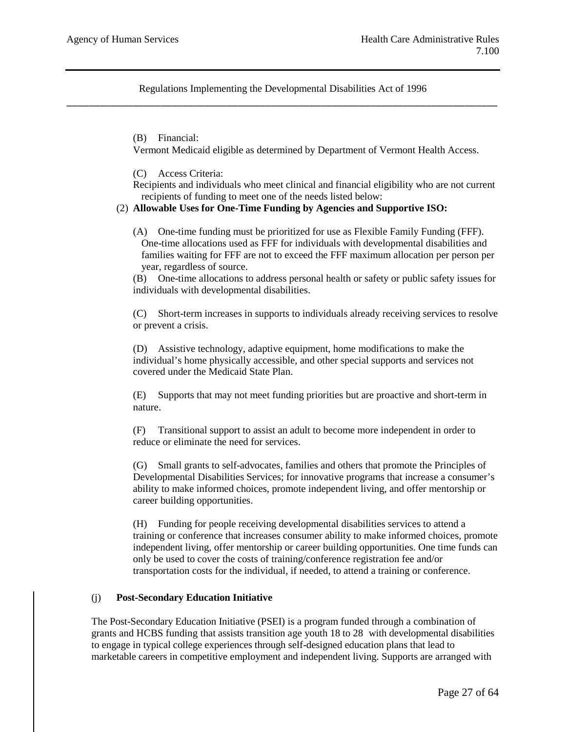(B) Financial:

Vermont Medicaid eligible as determined by Department of Vermont Health Access.

(C) Access Criteria:

Recipients and individuals who meet clinical and financial eligibility who are not current recipients of funding to meet one of the needs listed below:

#### (2) **Allowable Uses for One-Time Funding by Agencies and Supportive ISO:**

(A) One-time funding must be prioritized for use as Flexible Family Funding (FFF). One-time allocations used as FFF for individuals with developmental disabilities and families waiting for FFF are not to exceed the FFF maximum allocation per person per year, regardless of source.

(B) One-time allocations to address personal health or safety or public safety issues for individuals with developmental disabilities.

(C) Short-term increases in supports to individuals already receiving services to resolve or prevent a crisis.

(D) Assistive technology, adaptive equipment, home modifications to make the individual's home physically accessible, and other special supports and services not covered under the Medicaid State Plan.

(E) Supports that may not meet funding priorities but are proactive and short-term in nature.

(F) Transitional support to assist an adult to become more independent in order to reduce or eliminate the need for services.

(G) Small grants to self-advocates, families and others that promote the Principles of Developmental Disabilities Services; for innovative programs that increase a consumer's ability to make informed choices, promote independent living, and offer mentorship or career building opportunities.

(H) Funding for people receiving developmental disabilities services to attend a training or conference that increases consumer ability to make informed choices, promote independent living, offer mentorship or career building opportunities. One time funds can only be used to cover the costs of training/conference registration fee and/or transportation costs for the individual, if needed, to attend a training or conference.

#### (j) **Post-Secondary Education Initiative**

The Post-Secondary Education Initiative (PSEI) is a program funded through a combination of grants and HCBS funding that assists transition age youth 18 to 28 with developmental disabilities to engage in typical college experiences through self-designed education plans that lead to marketable careers in competitive employment and independent living. Supports are arranged with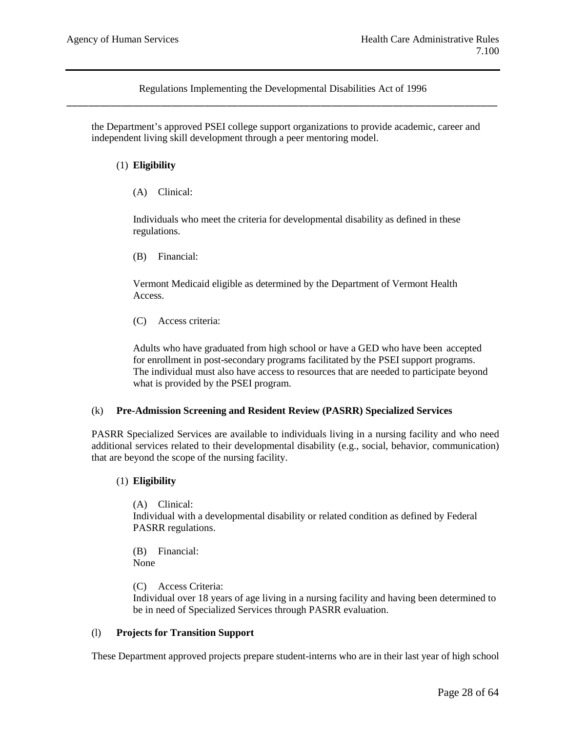the Department's approved PSEI college support organizations to provide academic, career and independent living skill development through a peer mentoring model.

## (1) **Eligibility**

(A) Clinical:

Individuals who meet the criteria for developmental disability as defined in these regulations.

(B) Financial:

Vermont Medicaid eligible as determined by the Department of Vermont Health Access.

(C) Access criteria:

Adults who have graduated from high school or have a GED who have been accepted for enrollment in post-secondary programs facilitated by the PSEI support programs. The individual must also have access to resources that are needed to participate beyond what is provided by the PSEI program.

### (k) **Pre-Admission Screening and Resident Review (PASRR) Specialized Services**

PASRR Specialized Services are available to individuals living in a nursing facility and who need additional services related to their developmental disability (e.g., social, behavior, communication) that are beyond the scope of the nursing facility.

### (1) **Eligibility**

(A) Clinical: Individual with a developmental disability or related condition as defined by Federal PASRR regulations.

(B) Financial: None

(C) Access Criteria:

Individual over 18 years of age living in a nursing facility and having been determined to be in need of Specialized Services through PASRR evaluation.

### (l) **Projects for Transition Support**

These Department approved projects prepare student-interns who are in their last year of high school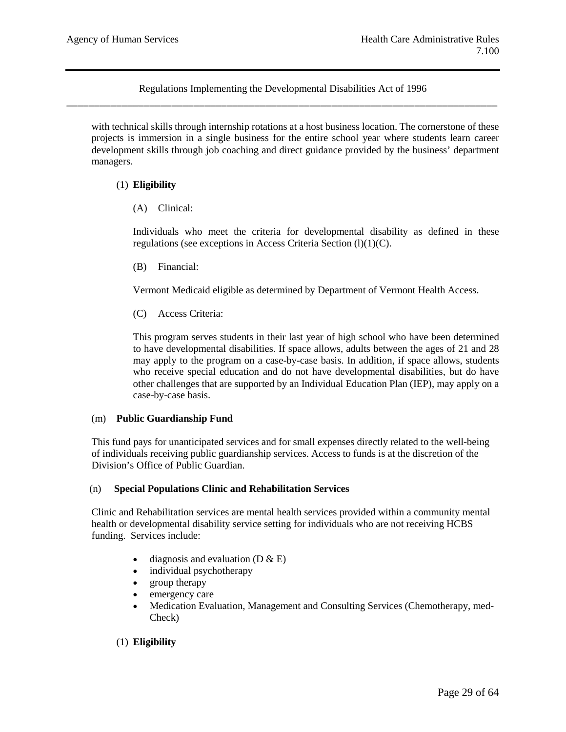with technical skills through internship rotations at a host business location. The cornerstone of these projects is immersion in a single business for the entire school year where students learn career development skills through job coaching and direct guidance provided by the business' department managers.

## (1) **Eligibility**

(A) Clinical:

Individuals who meet the criteria for developmental disability as defined in these regulations (see exceptions in Access Criteria Section (l)(1)(C).

(B) Financial:

Vermont Medicaid eligible as determined by Department of Vermont Health Access.

(C) Access Criteria:

This program serves students in their last year of high school who have been determined to have developmental disabilities. If space allows, adults between the ages of 21 and 28 may apply to the program on a case-by-case basis. In addition, if space allows, students who receive special education and do not have developmental disabilities, but do have other challenges that are supported by an Individual Education Plan (IEP), may apply on a case-by-case basis.

### (m) **Public Guardianship Fund**

This fund pays for unanticipated services and for small expenses directly related to the well-being of individuals receiving public guardianship services. Access to funds is at the discretion of the Division's Office of Public Guardian.

### (n) **Special Populations Clinic and Rehabilitation Services**

Clinic and Rehabilitation services are mental health services provided within a community mental health or developmental disability service setting for individuals who are not receiving HCBS funding. Services include:

- diagnosis and evaluation  $(D & E)$
- individual psychotherapy
- group therapy
- emergency care
- Medication Evaluation, Management and Consulting Services (Chemotherapy, med-Check)

### (1) **Eligibility**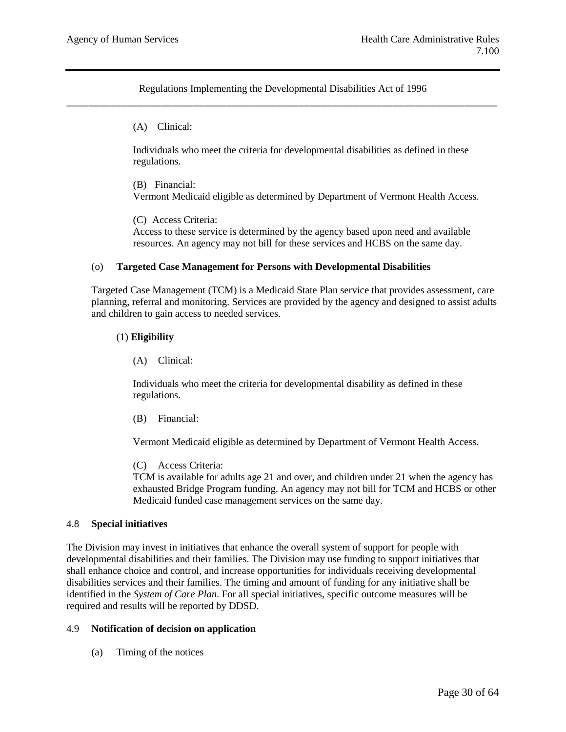(A) Clinical:

Individuals who meet the criteria for developmental disabilities as defined in these regulations.

(B) Financial: Vermont Medicaid eligible as determined by Department of Vermont Health Access.

(C) Access Criteria: Access to these service is determined by the agency based upon need and available resources. An agency may not bill for these services and HCBS on the same day.

#### (o) **Targeted Case Management for Persons with Developmental Disabilities**

Targeted Case Management (TCM) is a Medicaid State Plan service that provides assessment, care planning, referral and monitoring. Services are provided by the agency and designed to assist adults and children to gain access to needed services.

#### (1) **Eligibility**

(A) Clinical:

Individuals who meet the criteria for developmental disability as defined in these regulations.

(B) Financial:

Vermont Medicaid eligible as determined by Department of Vermont Health Access.

(C) Access Criteria:

TCM is available for adults age 21 and over, and children under 21 when the agency has exhausted Bridge Program funding. An agency may not bill for TCM and HCBS or other Medicaid funded case management services on the same day.

#### 4.8 **Special initiatives**

The Division may invest in initiatives that enhance the overall system of support for people with developmental disabilities and their families. The Division may use funding to support initiatives that shall enhance choice and control, and increase opportunities for individuals receiving developmental disabilities services and their families. The timing and amount of funding for any initiative shall be identified in the *System of Care Plan*. For all special initiatives, specific outcome measures will be required and results will be reported by DDSD.

### 4.9 **Notification of decision on application**

(a) Timing of the notices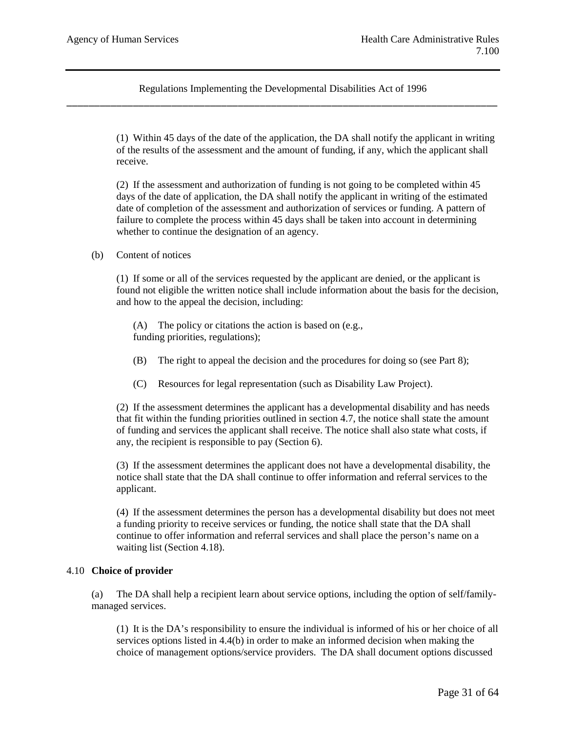> (1) Within 45 days of the date of the application, the DA shall notify the applicant in writing of the results of the assessment and the amount of funding, if any, which the applicant shall receive.

(2) If the assessment and authorization of funding is not going to be completed within 45 days of the date of application, the DA shall notify the applicant in writing of the estimated date of completion of the assessment and authorization of services or funding. A pattern of failure to complete the process within 45 days shall be taken into account in determining whether to continue the designation of an agency.

## (b) Content of notices

(1) If some or all of the services requested by the applicant are denied, or the applicant is found not eligible the written notice shall include information about the basis for the decision, and how to the appeal the decision, including:

(A) The policy or citations the action is based on (e.g., funding priorities, regulations);

- (B) The right to appeal the decision and the procedures for doing so (see Part 8);
- (C) Resources for legal representation (such as Disability Law Project).

(2) If the assessment determines the applicant has a developmental disability and has needs that fit within the funding priorities outlined in section 4.7, the notice shall state the amount of funding and services the applicant shall receive. The notice shall also state what costs, if any, the recipient is responsible to pay (Section 6).

(3) If the assessment determines the applicant does not have a developmental disability, the notice shall state that the DA shall continue to offer information and referral services to the applicant.

(4) If the assessment determines the person has a developmental disability but does not meet a funding priority to receive services or funding, the notice shall state that the DA shall continue to offer information and referral services and shall place the person's name on a waiting list (Section 4.18).

### 4.10 **Choice of provider**

(a) The DA shall help a recipient learn about service options, including the option of self/familymanaged services.

(1) It is the DA's responsibility to ensure the individual is informed of his or her choice of all services options listed in 4.4(b) in order to make an informed decision when making the choice of management options/service providers. The DA shall document options discussed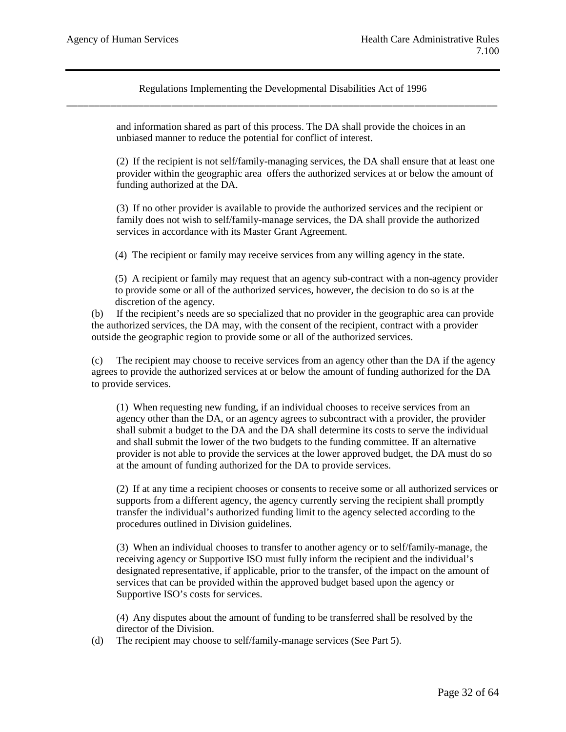> and information shared as part of this process. The DA shall provide the choices in an unbiased manner to reduce the potential for conflict of interest.

(2) If the recipient is not self/family-managing services, the DA shall ensure that at least one provider within the geographic area offers the authorized services at or below the amount of funding authorized at the DA.

(3) If no other provider is available to provide the authorized services and the recipient or family does not wish to self/family-manage services, the DA shall provide the authorized services in accordance with its Master Grant Agreement.

(4) The recipient or family may receive services from any willing agency in the state.

(5) A recipient or family may request that an agency sub-contract with a non-agency provider to provide some or all of the authorized services, however, the decision to do so is at the discretion of the agency.

(b) If the recipient's needs are so specialized that no provider in the geographic area can provide the authorized services, the DA may, with the consent of the recipient, contract with a provider outside the geographic region to provide some or all of the authorized services.

(c) The recipient may choose to receive services from an agency other than the DA if the agency agrees to provide the authorized services at or below the amount of funding authorized for the DA to provide services.

(1) When requesting new funding, if an individual chooses to receive services from an agency other than the DA, or an agency agrees to subcontract with a provider, the provider shall submit a budget to the DA and the DA shall determine its costs to serve the individual and shall submit the lower of the two budgets to the funding committee. If an alternative provider is not able to provide the services at the lower approved budget, the DA must do so at the amount of funding authorized for the DA to provide services.

(2) If at any time a recipient chooses or consents to receive some or all authorized services or supports from a different agency, the agency currently serving the recipient shall promptly transfer the individual's authorized funding limit to the agency selected according to the procedures outlined in Division guidelines.

(3) When an individual chooses to transfer to another agency or to self/family-manage, the receiving agency or Supportive ISO must fully inform the recipient and the individual's designated representative, if applicable, prior to the transfer, of the impact on the amount of services that can be provided within the approved budget based upon the agency or Supportive ISO's costs for services.

(4) Any disputes about the amount of funding to be transferred shall be resolved by the director of the Division.

(d) The recipient may choose to self/family-manage services (See Part 5).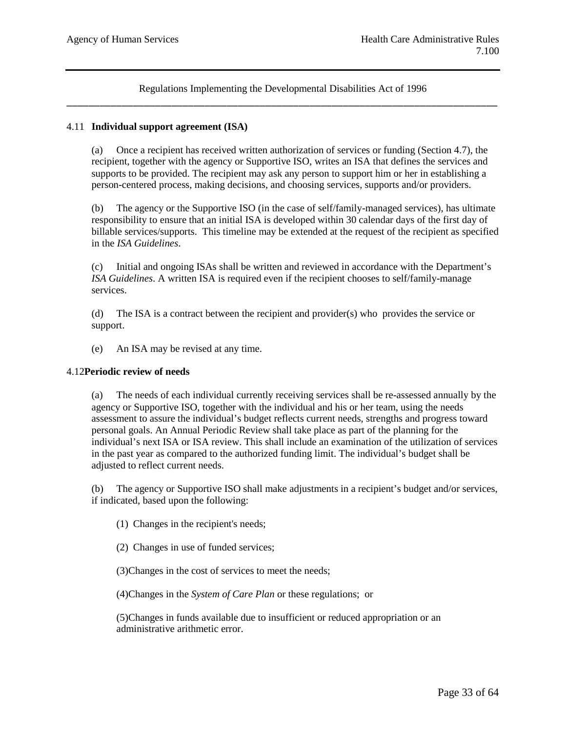## 4.11 **Individual support agreement (ISA)**

(a) Once a recipient has received written authorization of services or funding (Section 4.7), the recipient, together with the agency or Supportive ISO, writes an ISA that defines the services and supports to be provided. The recipient may ask any person to support him or her in establishing a person-centered process, making decisions, and choosing services, supports and/or providers.

(b) The agency or the Supportive ISO (in the case of self/family-managed services), has ultimate responsibility to ensure that an initial ISA is developed within 30 calendar days of the first day of billable services/supports. This timeline may be extended at the request of the recipient as specified in the *ISA Guidelines*.

(c) Initial and ongoing ISAs shall be written and reviewed in accordance with the Department's *ISA Guidelines*. A written ISA is required even if the recipient chooses to self/family-manage services.

(d) The ISA is a contract between the recipient and provider(s) who provides the service or support.

(e) An ISA may be revised at any time.

### 4.12**Periodic review of needs**

(a) The needs of each individual currently receiving services shall be re-assessed annually by the agency or Supportive ISO, together with the individual and his or her team, using the needs assessment to assure the individual's budget reflects current needs, strengths and progress toward personal goals. An Annual Periodic Review shall take place as part of the planning for the individual's next ISA or ISA review. This shall include an examination of the utilization of services in the past year as compared to the authorized funding limit. The individual's budget shall be adjusted to reflect current needs.

(b) The agency or Supportive ISO shall make adjustments in a recipient's budget and/or services, if indicated, based upon the following:

(1) Changes in the recipient's needs;

(2) Changes in use of funded services;

(3)Changes in the cost of services to meet the needs;

(4)Changes in the *System of Care Plan* or these regulations; or

(5)Changes in funds available due to insufficient or reduced appropriation or an administrative arithmetic error.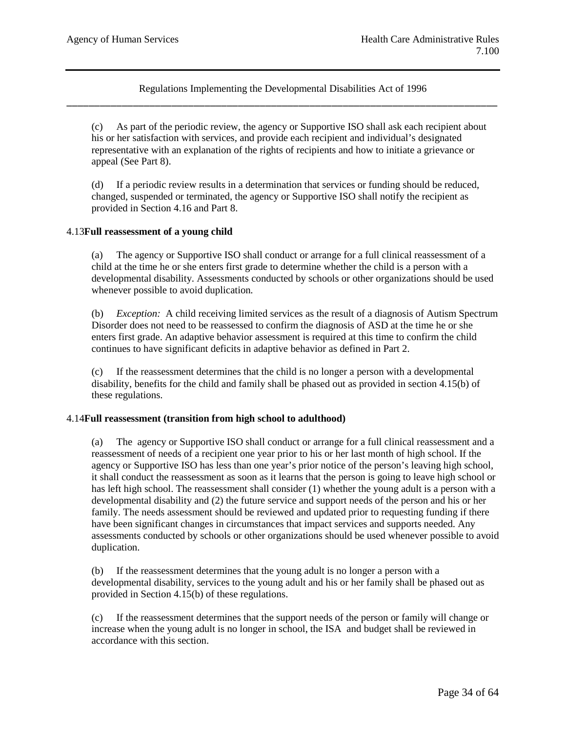(c) As part of the periodic review, the agency or Supportive ISO shall ask each recipient about his or her satisfaction with services, and provide each recipient and individual's designated representative with an explanation of the rights of recipients and how to initiate a grievance or appeal (See Part 8).

(d) If a periodic review results in a determination that services or funding should be reduced, changed, suspended or terminated, the agency or Supportive ISO shall notify the recipient as provided in Section 4.16 and Part 8.

### 4.13**Full reassessment of a young child**

(a) The agency or Supportive ISO shall conduct or arrange for a full clinical reassessment of a child at the time he or she enters first grade to determine whether the child is a person with a developmental disability. Assessments conducted by schools or other organizations should be used whenever possible to avoid duplication*.* 

(b) *Exception:* A child receiving limited services as the result of a diagnosis of Autism Spectrum Disorder does not need to be reassessed to confirm the diagnosis of ASD at the time he or she enters first grade. An adaptive behavior assessment is required at this time to confirm the child continues to have significant deficits in adaptive behavior as defined in Part 2.

(c) If the reassessment determines that the child is no longer a person with a developmental disability, benefits for the child and family shall be phased out as provided in section 4.15(b) of these regulations.

#### 4.14**Full reassessment (transition from high school to adulthood)**

(a) The agency or Supportive ISO shall conduct or arrange for a full clinical reassessment and a reassessment of needs of a recipient one year prior to his or her last month of high school. If the agency or Supportive ISO has less than one year's prior notice of the person's leaving high school, it shall conduct the reassessment as soon as it learns that the person is going to leave high school or has left high school. The reassessment shall consider (1) whether the young adult is a person with a developmental disability and (2) the future service and support needs of the person and his or her family. The needs assessment should be reviewed and updated prior to requesting funding if there have been significant changes in circumstances that impact services and supports needed. Any assessments conducted by schools or other organizations should be used whenever possible to avoid duplication.

(b) If the reassessment determines that the young adult is no longer a person with a developmental disability, services to the young adult and his or her family shall be phased out as provided in Section 4.15(b) of these regulations.

(c) If the reassessment determines that the support needs of the person or family will change or increase when the young adult is no longer in school, the ISA and budget shall be reviewed in accordance with this section.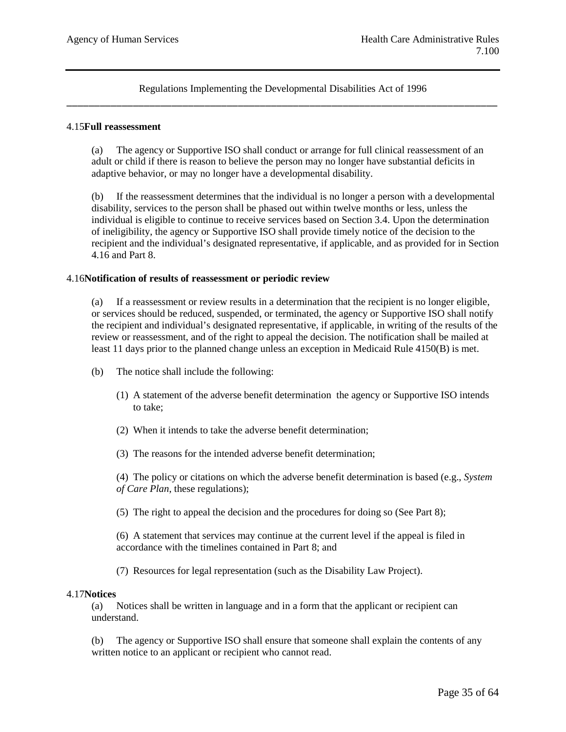#### 4.15**Full reassessment**

(a) The agency or Supportive ISO shall conduct or arrange for full clinical reassessment of an adult or child if there is reason to believe the person may no longer have substantial deficits in adaptive behavior, or may no longer have a developmental disability.

(b) If the reassessment determines that the individual is no longer a person with a developmental disability, services to the person shall be phased out within twelve months or less, unless the individual is eligible to continue to receive services based on Section 3.4. Upon the determination of ineligibility, the agency or Supportive ISO shall provide timely notice of the decision to the recipient and the individual's designated representative, if applicable, and as provided for in Section 4.16 and Part 8.

#### 4.16**Notification of results of reassessment or periodic review**

(a) If a reassessment or review results in a determination that the recipient is no longer eligible, or services should be reduced, suspended, or terminated, the agency or Supportive ISO shall notify the recipient and individual's designated representative, if applicable, in writing of the results of the review or reassessment, and of the right to appeal the decision. The notification shall be mailed at least 11 days prior to the planned change unless an exception in Medicaid Rule 4150(B) is met.

- (b) The notice shall include the following:
	- (1) A statement of the adverse benefit determination the agency or Supportive ISO intends to take;
	- (2) When it intends to take the adverse benefit determination;
	- (3) The reasons for the intended adverse benefit determination;

(4) The policy or citations on which the adverse benefit determination is based (e.g., *System of Care Plan*, these regulations);

(5) The right to appeal the decision and the procedures for doing so (See Part 8);

(6) A statement that services may continue at the current level if the appeal is filed in accordance with the timelines contained in Part 8; and

(7) Resources for legal representation (such as the Disability Law Project).

#### 4.17**Notices**

(a) Notices shall be written in language and in a form that the applicant or recipient can understand.

(b) The agency or Supportive ISO shall ensure that someone shall explain the contents of any written notice to an applicant or recipient who cannot read.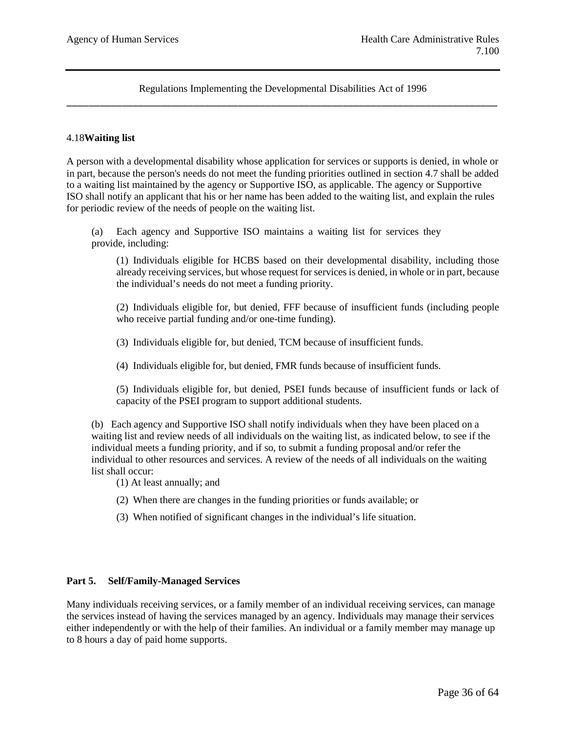### 4.18**Waiting list**

A person with a developmental disability whose application for services or supports is denied, in whole or in part, because the person's needs do not meet the funding priorities outlined in section 4.7 shall be added to a waiting list maintained by the agency or Supportive ISO, as applicable. The agency or Supportive ISO shall notify an applicant that his or her name has been added to the waiting list, and explain the rules for periodic review of the needs of people on the waiting list.

(a) Each agency and Supportive ISO maintains a waiting list for services they provide, including:

(1) Individuals eligible for HCBS based on their developmental disability, including those already receiving services, but whose request for services is denied, in whole or in part, because the individual's needs do not meet a funding priority.

(2) Individuals eligible for, but denied, FFF because of insufficient funds (including people who receive partial funding and/or one-time funding).

(3) Individuals eligible for, but denied, TCM because of insufficient funds.

(4) Individuals eligible for, but denied, FMR funds because of insufficient funds.

(5) Individuals eligible for, but denied, PSEI funds because of insufficient funds or lack of capacity of the PSEI program to support additional students.

(b) Each agency and Supportive ISO shall notify individuals when they have been placed on a waiting list and review needs of all individuals on the waiting list, as indicated below, to see if the individual meets a funding priority, and if so, to submit a funding proposal and/or refer the individual to other resources and services. A review of the needs of all individuals on the waiting list shall occur:

- (1) At least annually; and
- (2) When there are changes in the funding priorities or funds available; or
- (3) When notified of significant changes in the individual's life situation.

#### **Part 5. Self/Family-Managed Services**

Many individuals receiving services, or a family member of an individual receiving services, can manage the services instead of having the services managed by an agency. Individuals may manage their services either independently or with the help of their families. An individual or a family member may manage up to 8 hours a day of paid home supports.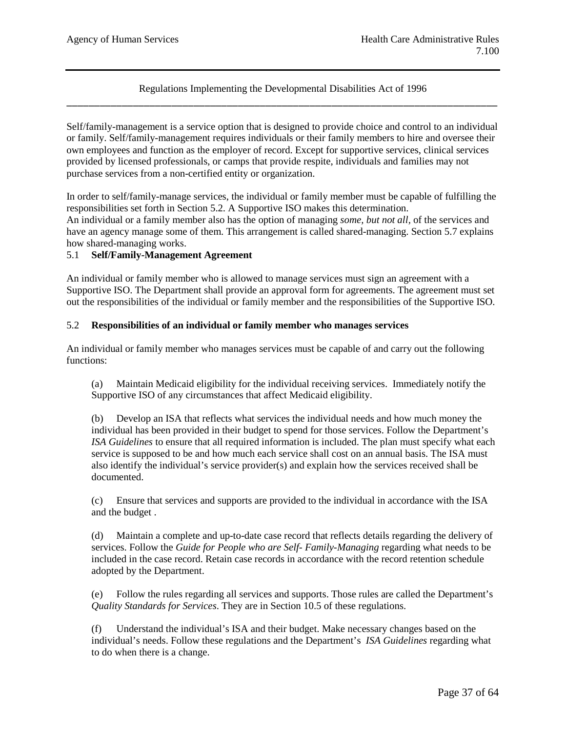Self/family-management is a service option that is designed to provide choice and control to an individual or family. Self/family-management requires individuals or their family members to hire and oversee their own employees and function as the employer of record. Except for supportive services, clinical services provided by licensed professionals, or camps that provide respite, individuals and families may not purchase services from a non-certified entity or organization.

In order to self/family-manage services, the individual or family member must be capable of fulfilling the responsibilities set forth in Section 5.2. A Supportive ISO makes this determination. An individual or a family member also has the option of managing *some, but not all,* of the services and have an agency manage some of them. This arrangement is called shared-managing. Section 5.7 explains how shared-managing works.

### 5.1 **Self/Family-Management Agreement**

An individual or family member who is allowed to manage services must sign an agreement with a Supportive ISO. The Department shall provide an approval form for agreements. The agreement must set out the responsibilities of the individual or family member and the responsibilities of the Supportive ISO.

## 5.2 **Responsibilities of an individual or family member who manages services**

An individual or family member who manages services must be capable of and carry out the following functions:

(a) Maintain Medicaid eligibility for the individual receiving services. Immediately notify the Supportive ISO of any circumstances that affect Medicaid eligibility.

(b) Develop an ISA that reflects what services the individual needs and how much money the individual has been provided in their budget to spend for those services. Follow the Department's *ISA Guidelines* to ensure that all required information is included. The plan must specify what each service is supposed to be and how much each service shall cost on an annual basis. The ISA must also identify the individual's service provider(s) and explain how the services received shall be documented.

(c) Ensure that services and supports are provided to the individual in accordance with the ISA and the budget .

(d) Maintain a complete and up-to-date case record that reflects details regarding the delivery of services. Follow the *Guide for People who are Self- Family-Managing* regarding what needs to be included in the case record. Retain case records in accordance with the record retention schedule adopted by the Department.

(e) Follow the rules regarding all services and supports. Those rules are called the Department's *Quality Standards for Services*. They are in Section 10.5 of these regulations.

(f) Understand the individual's ISA and their budget. Make necessary changes based on the individual's needs. Follow these regulations and the Department's *ISA Guidelines* regarding what to do when there is a change.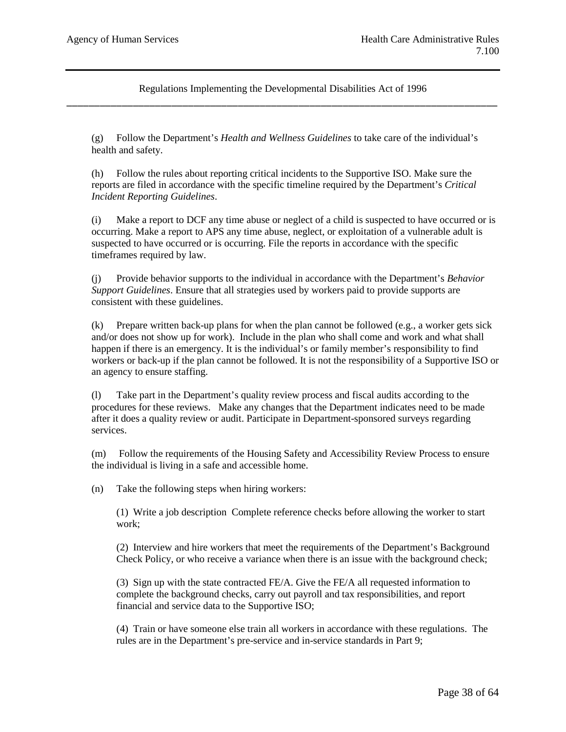(g) Follow the Department's *Health and Wellness Guidelines* to take care of the individual's health and safety.

(h) Follow the rules about reporting critical incidents to the Supportive ISO. Make sure the reports are filed in accordance with the specific timeline required by the Department's *Critical Incident Reporting Guidelines*.

(i) Make a report to DCF any time abuse or neglect of a child is suspected to have occurred or is occurring. Make a report to APS any time abuse, neglect, or exploitation of a vulnerable adult is suspected to have occurred or is occurring. File the reports in accordance with the specific timeframes required by law.

(j) Provide behavior supports to the individual in accordance with the Department's *Behavior Support Guidelines*. Ensure that all strategies used by workers paid to provide supports are consistent with these guidelines.

(k) Prepare written back-up plans for when the plan cannot be followed (e.g., a worker gets sick and/or does not show up for work). Include in the plan who shall come and work and what shall happen if there is an emergency. It is the individual's or family member's responsibility to find workers or back-up if the plan cannot be followed. It is not the responsibility of a Supportive ISO or an agency to ensure staffing.

(l) Take part in the Department's quality review process and fiscal audits according to the procedures for these reviews. Make any changes that the Department indicates need to be made after it does a quality review or audit. Participate in Department-sponsored surveys regarding services.

(m) Follow the requirements of the Housing Safety and Accessibility Review Process to ensure the individual is living in a safe and accessible home.

(n) Take the following steps when hiring workers:

(1) Write a job description Complete reference checks before allowing the worker to start work;

(2) Interview and hire workers that meet the requirements of the Department's Background Check Policy, or who receive a variance when there is an issue with the background check;

(3) Sign up with the state contracted FE/A. Give the FE/A all requested information to complete the background checks, carry out payroll and tax responsibilities, and report financial and service data to the Supportive ISO;

(4) Train or have someone else train all workers in accordance with these regulations. The rules are in the Department's pre-service and in-service standards in Part 9;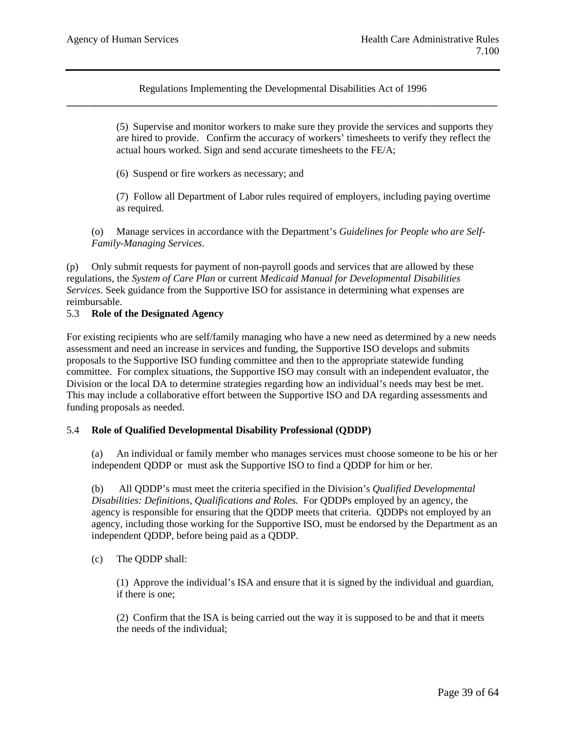> (5) Supervise and monitor workers to make sure they provide the services and supports they are hired to provide. Confirm the accuracy of workers' timesheets to verify they reflect the actual hours worked. Sign and send accurate timesheets to the FE/A;

(6) Suspend or fire workers as necessary; and

(7) Follow all Department of Labor rules required of employers, including paying overtime as required.

(o) Manage services in accordance with the Department's *Guidelines for People who are Self-Family-Managing Services*.

(p) Only submit requests for payment of non-payroll goods and services that are allowed by these regulations, the *System of Care Plan* or current *Medicaid Manual for Developmental Disabilities Services*. Seek guidance from the Supportive ISO for assistance in determining what expenses are reimbursable.

## 5.3 **Role of the Designated Agency**

For existing recipients who are self/family managing who have a new need as determined by a new needs assessment and need an increase in services and funding, the Supportive ISO develops and submits proposals to the Supportive ISO funding committee and then to the appropriate statewide funding committee. For complex situations, the Supportive ISO may consult with an independent evaluator, the Division or the local DA to determine strategies regarding how an individual's needs may best be met. This may include a collaborative effort between the Supportive ISO and DA regarding assessments and funding proposals as needed.

### 5.4 **Role of Qualified Developmental Disability Professional (QDDP)**

(a) An individual or family member who manages services must choose someone to be his or her independent QDDP or must ask the Supportive ISO to find a QDDP for him or her.

(b) All QDDP's must meet the criteria specified in the Division's *Qualified Developmental Disabilities: Definitions, Qualifications and Roles.* For QDDPs employed by an agency, the agency is responsible for ensuring that the QDDP meets that criteria. QDDPs not employed by an agency, including those working for the Supportive ISO, must be endorsed by the Department as an independent QDDP, before being paid as a QDDP.

(c) The QDDP shall:

(1) Approve the individual's ISA and ensure that it is signed by the individual and guardian, if there is one;

(2) Confirm that the ISA is being carried out the way it is supposed to be and that it meets the needs of the individual;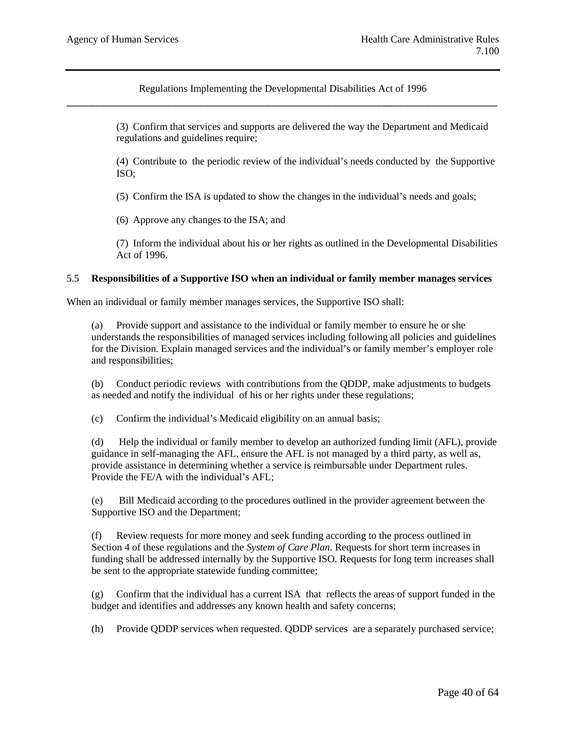> (3) Confirm that services and supports are delivered the way the Department and Medicaid regulations and guidelines require;

(4) Contribute to the periodic review of the individual's needs conducted by the Supportive ISO;

(5) Confirm the ISA is updated to show the changes in the individual's needs and goals;

(6) Approve any changes to the ISA; and

(7) Inform the individual about his or her rights as outlined in the Developmental Disabilities Act of 1996.

#### 5.5 **Responsibilities of a Supportive ISO when an individual or family member manages services**

When an individual or family member manages services, the Supportive ISO shall:

(a) Provide support and assistance to the individual or family member to ensure he or she understands the responsibilities of managed services including following all policies and guidelines for the Division. Explain managed services and the individual's or family member's employer role and responsibilities;

(b) Conduct periodic reviews with contributions from the QDDP, make adjustments to budgets as needed and notify the individual of his or her rights under these regulations;

(c) Confirm the individual's Medicaid eligibility on an annual basis;

(d) Help the individual or family member to develop an authorized funding limit (AFL), provide guidance in self-managing the AFL, ensure the AFL is not managed by a third party, as well as, provide assistance in determining whether a service is reimbursable under Department rules. Provide the FE/A with the individual's AFL;

(e) Bill Medicaid according to the procedures outlined in the provider agreement between the Supportive ISO and the Department;

(f) Review requests for more money and seek funding according to the process outlined in Section 4 of these regulations and the *System of Care Plan*. Requests for short term increases in funding shall be addressed internally by the Supportive ISO. Requests for long term increases shall be sent to the appropriate statewide funding committee;

(g) Confirm that the individual has a current ISA that reflects the areas of support funded in the budget and identifies and addresses any known health and safety concerns;

(h) Provide QDDP services when requested. QDDP services are a separately purchased service;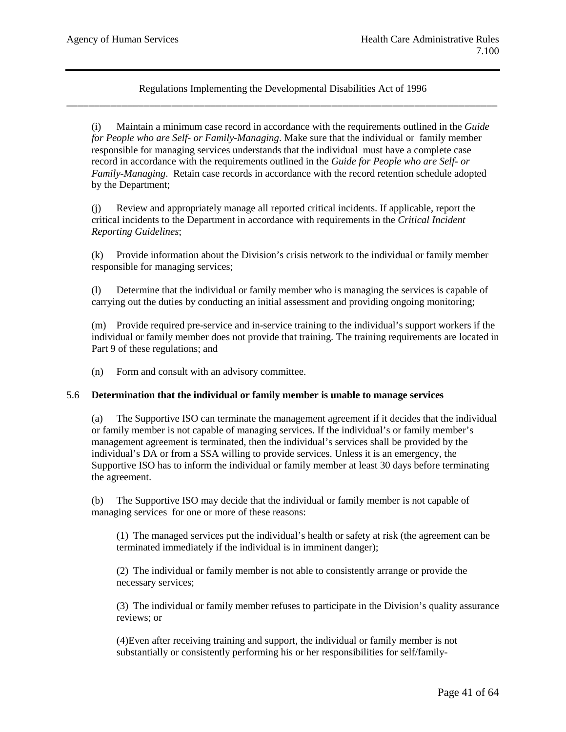(i) Maintain a minimum case record in accordance with the requirements outlined in the *Guide for People who are Self- or Family-Managing*. Make sure that the individual or family member responsible for managing services understands that the individual must have a complete case record in accordance with the requirements outlined in the *Guide for People who are Self- or Family-Managing*. Retain case records in accordance with the record retention schedule adopted by the Department;

(j) Review and appropriately manage all reported critical incidents. If applicable, report the critical incidents to the Department in accordance with requirements in the *Critical Incident Reporting Guidelines*;

(k) Provide information about the Division's crisis network to the individual or family member responsible for managing services;

(l) Determine that the individual or family member who is managing the services is capable of carrying out the duties by conducting an initial assessment and providing ongoing monitoring;

(m) Provide required pre-service and in-service training to the individual's support workers if the individual or family member does not provide that training. The training requirements are located in Part 9 of these regulations; and

(n) Form and consult with an advisory committee.

#### 5.6 **Determination that the individual or family member is unable to manage services**

(a) The Supportive ISO can terminate the management agreement if it decides that the individual or family member is not capable of managing services. If the individual's or family member's management agreement is terminated, then the individual's services shall be provided by the individual's DA or from a SSA willing to provide services. Unless it is an emergency, the Supportive ISO has to inform the individual or family member at least 30 days before terminating the agreement.

(b) The Supportive ISO may decide that the individual or family member is not capable of managing services for one or more of these reasons:

(1) The managed services put the individual's health or safety at risk (the agreement can be terminated immediately if the individual is in imminent danger);

(2) The individual or family member is not able to consistently arrange or provide the necessary services;

(3) The individual or family member refuses to participate in the Division's quality assurance reviews; or

(4)Even after receiving training and support, the individual or family member is not substantially or consistently performing his or her responsibilities for self/family-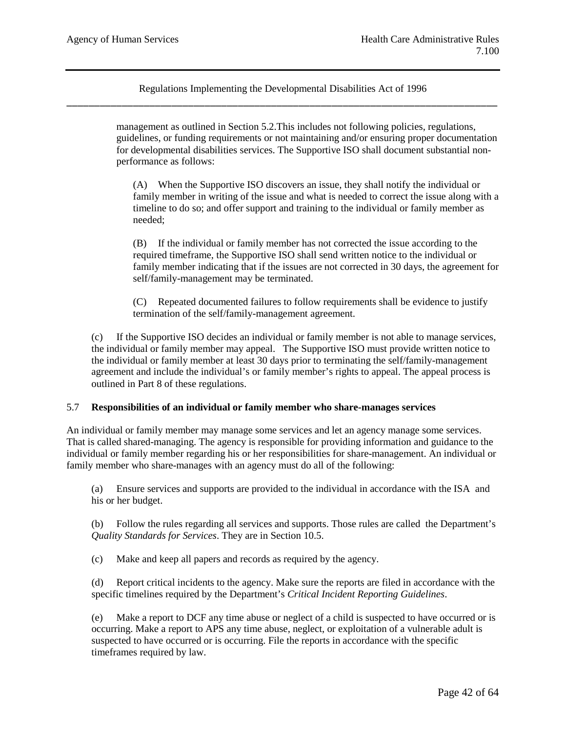> management as outlined in Section 5.2.This includes not following policies, regulations, guidelines, or funding requirements or not maintaining and/or ensuring proper documentation for developmental disabilities services. The Supportive ISO shall document substantial nonperformance as follows:

(A) When the Supportive ISO discovers an issue, they shall notify the individual or family member in writing of the issue and what is needed to correct the issue along with a timeline to do so; and offer support and training to the individual or family member as needed;

(B) If the individual or family member has not corrected the issue according to the required timeframe, the Supportive ISO shall send written notice to the individual or family member indicating that if the issues are not corrected in 30 days, the agreement for self/family-management may be terminated.

(C) Repeated documented failures to follow requirements shall be evidence to justify termination of the self/family-management agreement.

(c) If the Supportive ISO decides an individual or family member is not able to manage services, the individual or family member may appeal. The Supportive ISO must provide written notice to the individual or family member at least 30 days prior to terminating the self/family-management agreement and include the individual's or family member's rights to appeal. The appeal process is outlined in Part 8 of these regulations.

### 5.7 **Responsibilities of an individual or family member who share-manages services**

An individual or family member may manage some services and let an agency manage some services. That is called shared-managing. The agency is responsible for providing information and guidance to the individual or family member regarding his or her responsibilities for share-management. An individual or family member who share-manages with an agency must do all of the following:

(a) Ensure services and supports are provided to the individual in accordance with the ISA and his or her budget.

(b) Follow the rules regarding all services and supports. Those rules are called the Department's *Quality Standards for Services*. They are in Section 10.5.

(c) Make and keep all papers and records as required by the agency.

(d) Report critical incidents to the agency. Make sure the reports are filed in accordance with the specific timelines required by the Department's *Critical Incident Reporting Guidelines*.

(e) Make a report to DCF any time abuse or neglect of a child is suspected to have occurred or is occurring. Make a report to APS any time abuse, neglect, or exploitation of a vulnerable adult is suspected to have occurred or is occurring. File the reports in accordance with the specific timeframes required by law.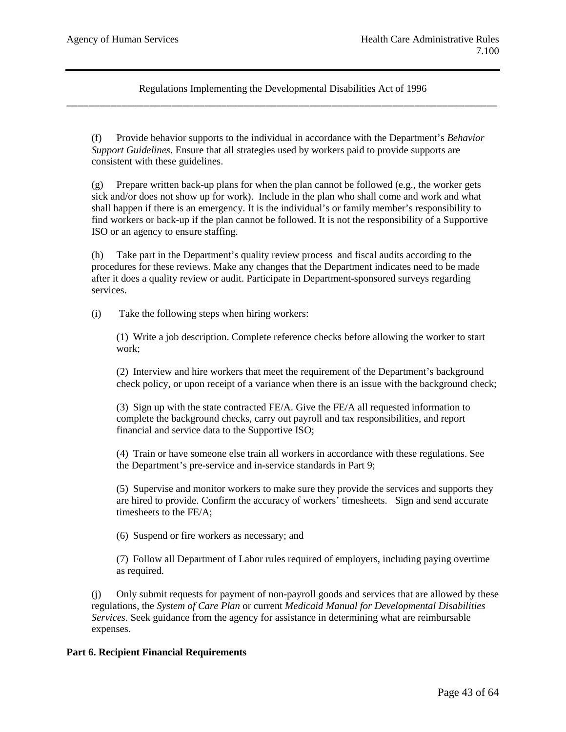(f) Provide behavior supports to the individual in accordance with the Department's *Behavior Support Guidelines*. Ensure that all strategies used by workers paid to provide supports are consistent with these guidelines.

(g) Prepare written back-up plans for when the plan cannot be followed (e.g., the worker gets sick and/or does not show up for work). Include in the plan who shall come and work and what shall happen if there is an emergency. It is the individual's or family member's responsibility to find workers or back-up if the plan cannot be followed. It is not the responsibility of a Supportive ISO or an agency to ensure staffing.

(h) Take part in the Department's quality review process and fiscal audits according to the procedures for these reviews. Make any changes that the Department indicates need to be made after it does a quality review or audit. Participate in Department-sponsored surveys regarding services.

(i) Take the following steps when hiring workers:

(1) Write a job description. Complete reference checks before allowing the worker to start work;

(2) Interview and hire workers that meet the requirement of the Department's background check policy, or upon receipt of a variance when there is an issue with the background check;

(3) Sign up with the state contracted FE/A. Give the FE/A all requested information to complete the background checks, carry out payroll and tax responsibilities, and report financial and service data to the Supportive ISO;

(4) Train or have someone else train all workers in accordance with these regulations. See the Department's pre-service and in-service standards in Part 9;

(5) Supervise and monitor workers to make sure they provide the services and supports they are hired to provide. Confirm the accuracy of workers' timesheets. Sign and send accurate timesheets to the FE/A;

(6) Suspend or fire workers as necessary; and

(7) Follow all Department of Labor rules required of employers, including paying overtime as required.

(j) Only submit requests for payment of non-payroll goods and services that are allowed by these regulations, the *System of Care Plan* or current *Medicaid Manual for Developmental Disabilities Services*. Seek guidance from the agency for assistance in determining what are reimbursable expenses.

### **Part 6. Recipient Financial Requirements**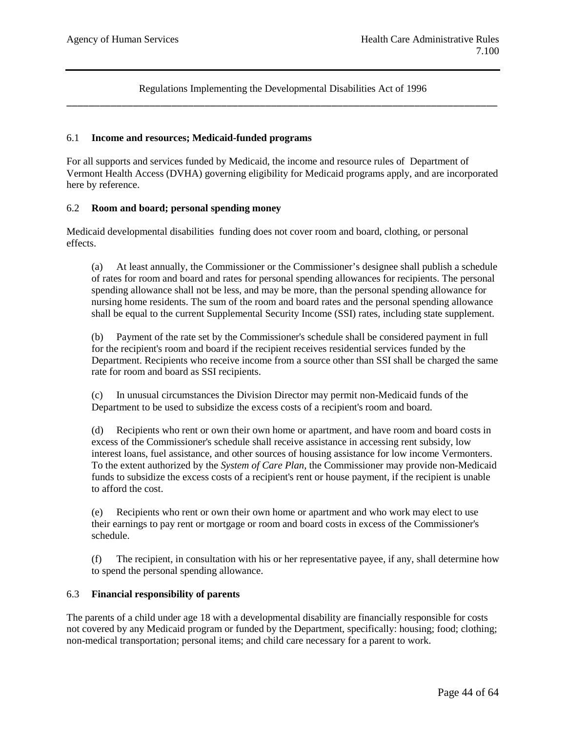#### 6.1 **Income and resources; Medicaid-funded programs**

For all supports and services funded by Medicaid, the income and resource rules of Department of Vermont Health Access (DVHA) governing eligibility for Medicaid programs apply, and are incorporated here by reference.

#### 6.2 **Room and board; personal spending money**

Medicaid developmental disabilities funding does not cover room and board, clothing, or personal effects.

(a) At least annually, the Commissioner or the Commissioner's designee shall publish a schedule of rates for room and board and rates for personal spending allowances for recipients. The personal spending allowance shall not be less, and may be more, than the personal spending allowance for nursing home residents. The sum of the room and board rates and the personal spending allowance shall be equal to the current Supplemental Security Income (SSI) rates, including state supplement.

(b) Payment of the rate set by the Commissioner's schedule shall be considered payment in full for the recipient's room and board if the recipient receives residential services funded by the Department. Recipients who receive income from a source other than SSI shall be charged the same rate for room and board as SSI recipients.

(c) In unusual circumstances the Division Director may permit non-Medicaid funds of the Department to be used to subsidize the excess costs of a recipient's room and board.

(d) Recipients who rent or own their own home or apartment, and have room and board costs in excess of the Commissioner's schedule shall receive assistance in accessing rent subsidy, low interest loans, fuel assistance, and other sources of housing assistance for low income Vermonters. To the extent authorized by the *System of Care Plan*, the Commissioner may provide non-Medicaid funds to subsidize the excess costs of a recipient's rent or house payment, if the recipient is unable to afford the cost.

(e) Recipients who rent or own their own home or apartment and who work may elect to use their earnings to pay rent or mortgage or room and board costs in excess of the Commissioner's schedule.

(f) The recipient, in consultation with his or her representative payee, if any, shall determine how to spend the personal spending allowance.

## 6.3 **Financial responsibility of parents**

The parents of a child under age 18 with a developmental disability are financially responsible for costs not covered by any Medicaid program or funded by the Department, specifically: housing; food; clothing; non-medical transportation; personal items; and child care necessary for a parent to work.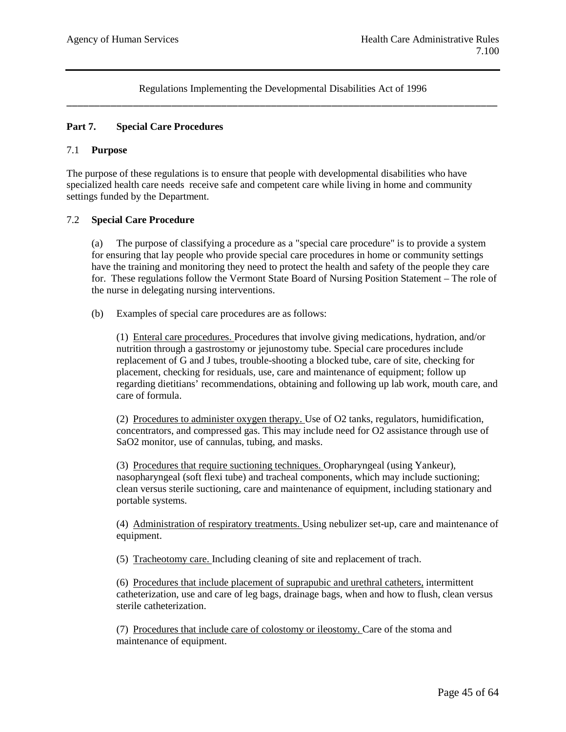## **Part 7. Special Care Procedures**

#### 7.1 **Purpose**

The purpose of these regulations is to ensure that people with developmental disabilities who have specialized health care needs receive safe and competent care while living in home and community settings funded by the Department.

#### 7.2 **Special Care Procedure**

(a) The purpose of classifying a procedure as a "special care procedure" is to provide a system for ensuring that lay people who provide special care procedures in home or community settings have the training and monitoring they need to protect the health and safety of the people they care for. These regulations follow the Vermont State Board of Nursing Position Statement – The role of the nurse in delegating nursing interventions.

(b) Examples of special care procedures are as follows:

(1) Enteral care procedures. Procedures that involve giving medications, hydration, and/or nutrition through a gastrostomy or jejunostomy tube. Special care procedures include replacement of G and J tubes, trouble-shooting a blocked tube, care of site, checking for placement, checking for residuals, use, care and maintenance of equipment; follow up regarding dietitians' recommendations, obtaining and following up lab work, mouth care, and care of formula.

(2) Procedures to administer oxygen therapy. Use of O2 tanks, regulators, humidification, concentrators, and compressed gas. This may include need for O2 assistance through use of SaO2 monitor, use of cannulas, tubing, and masks.

(3) Procedures that require suctioning techniques. Oropharyngeal (using Yankeur), nasopharyngeal (soft flexi tube) and tracheal components, which may include suctioning; clean versus sterile suctioning, care and maintenance of equipment, including stationary and portable systems.

(4) Administration of respiratory treatments. Using nebulizer set-up, care and maintenance of equipment.

(5) Tracheotomy care. Including cleaning of site and replacement of trach.

(6) Procedures that include placement of suprapubic and urethral catheters, intermittent catheterization, use and care of leg bags, drainage bags, when and how to flush, clean versus sterile catheterization.

(7) Procedures that include care of colostomy or ileostomy. Care of the stoma and maintenance of equipment.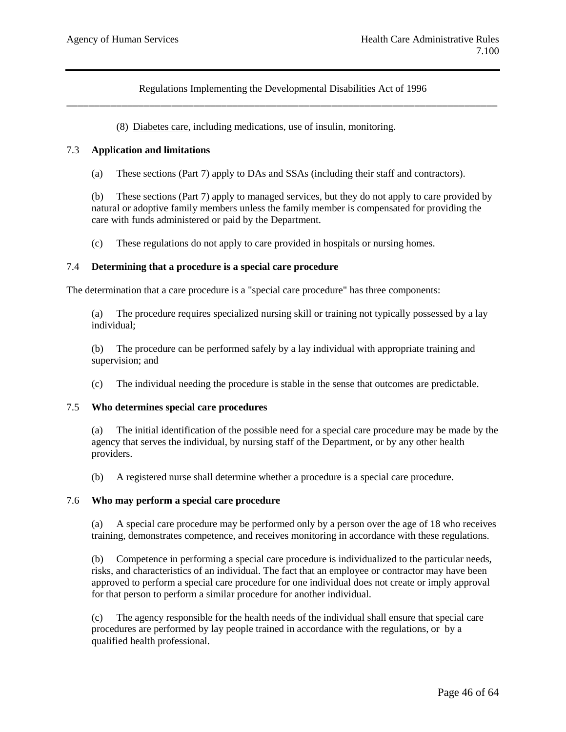(8) Diabetes care, including medications, use of insulin, monitoring.

#### 7.3 **Application and limitations**

(a) These sections (Part 7) apply to DAs and SSAs (including their staff and contractors).

(b) These sections (Part 7) apply to managed services, but they do not apply to care provided by natural or adoptive family members unless the family member is compensated for providing the care with funds administered or paid by the Department.

(c) These regulations do not apply to care provided in hospitals or nursing homes.

#### 7.4 **Determining that a procedure is a special care procedure**

The determination that a care procedure is a "special care procedure" has three components:

(a) The procedure requires specialized nursing skill or training not typically possessed by a lay individual;

(b) The procedure can be performed safely by a lay individual with appropriate training and supervision; and

(c) The individual needing the procedure is stable in the sense that outcomes are predictable.

### 7.5 **Who determines special care procedures**

(a) The initial identification of the possible need for a special care procedure may be made by the agency that serves the individual, by nursing staff of the Department, or by any other health providers.

(b) A registered nurse shall determine whether a procedure is a special care procedure.

#### 7.6 **Who may perform a special care procedure**

(a) A special care procedure may be performed only by a person over the age of 18 who receives training, demonstrates competence, and receives monitoring in accordance with these regulations.

(b) Competence in performing a special care procedure is individualized to the particular needs, risks, and characteristics of an individual. The fact that an employee or contractor may have been approved to perform a special care procedure for one individual does not create or imply approval for that person to perform a similar procedure for another individual.

(c) The agency responsible for the health needs of the individual shall ensure that special care procedures are performed by lay people trained in accordance with the regulations, or by a qualified health professional.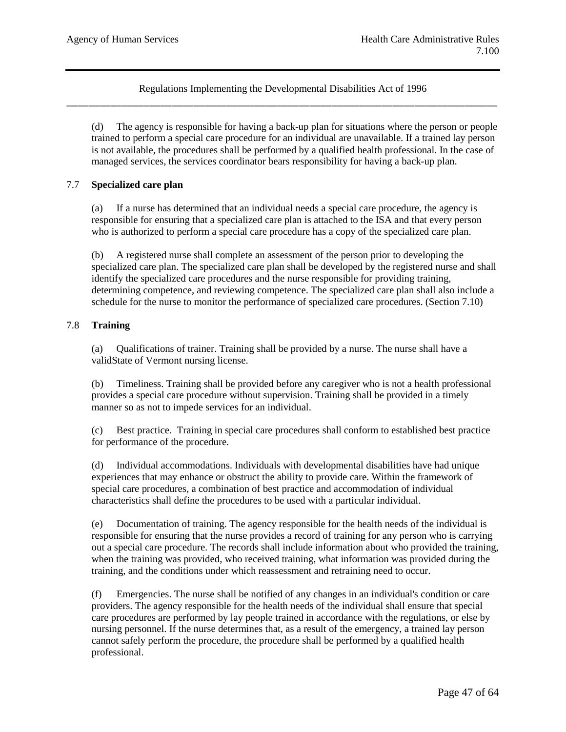(d) The agency is responsible for having a back-up plan for situations where the person or people trained to perform a special care procedure for an individual are unavailable. If a trained lay person is not available, the procedures shall be performed by a qualified health professional. In the case of managed services, the services coordinator bears responsibility for having a back-up plan.

## 7.7 **Specialized care plan**

(a) If a nurse has determined that an individual needs a special care procedure, the agency is responsible for ensuring that a specialized care plan is attached to the ISA and that every person who is authorized to perform a special care procedure has a copy of the specialized care plan.

(b) A registered nurse shall complete an assessment of the person prior to developing the specialized care plan. The specialized care plan shall be developed by the registered nurse and shall identify the specialized care procedures and the nurse responsible for providing training, determining competence, and reviewing competence. The specialized care plan shall also include a schedule for the nurse to monitor the performance of specialized care procedures. (Section 7.10)

## 7.8 **Training**

(a) Qualifications of trainer. Training shall be provided by a nurse. The nurse shall have a validState of Vermont nursing license.

(b) Timeliness. Training shall be provided before any caregiver who is not a health professional provides a special care procedure without supervision. Training shall be provided in a timely manner so as not to impede services for an individual.

(c) Best practice. Training in special care procedures shall conform to established best practice for performance of the procedure.

(d) Individual accommodations. Individuals with developmental disabilities have had unique experiences that may enhance or obstruct the ability to provide care. Within the framework of special care procedures, a combination of best practice and accommodation of individual characteristics shall define the procedures to be used with a particular individual.

Documentation of training. The agency responsible for the health needs of the individual is responsible for ensuring that the nurse provides a record of training for any person who is carrying out a special care procedure. The records shall include information about who provided the training, when the training was provided, who received training, what information was provided during the training, and the conditions under which reassessment and retraining need to occur.

(f) Emergencies. The nurse shall be notified of any changes in an individual's condition or care providers. The agency responsible for the health needs of the individual shall ensure that special care procedures are performed by lay people trained in accordance with the regulations, or else by nursing personnel. If the nurse determines that, as a result of the emergency, a trained lay person cannot safely perform the procedure, the procedure shall be performed by a qualified health professional.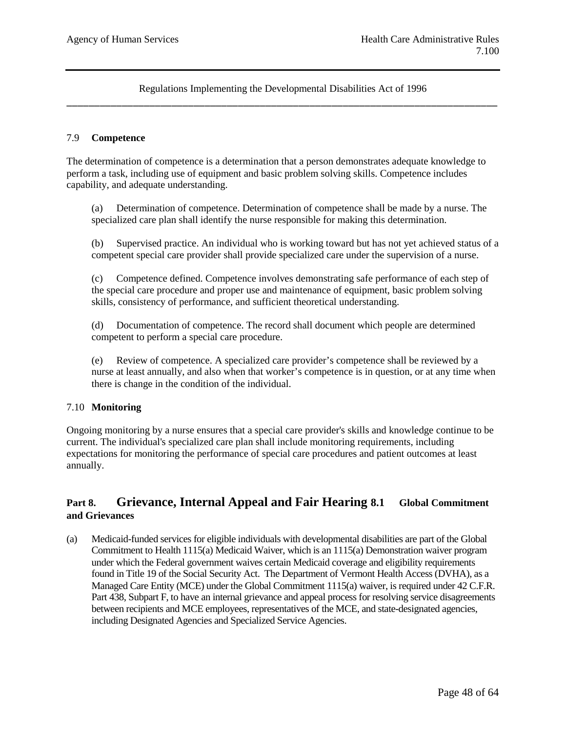#### 7.9 **Competence**

The determination of competence is a determination that a person demonstrates adequate knowledge to perform a task, including use of equipment and basic problem solving skills. Competence includes capability, and adequate understanding.

(a) Determination of competence. Determination of competence shall be made by a nurse. The specialized care plan shall identify the nurse responsible for making this determination.

(b) Supervised practice. An individual who is working toward but has not yet achieved status of a competent special care provider shall provide specialized care under the supervision of a nurse.

(c) Competence defined. Competence involves demonstrating safe performance of each step of the special care procedure and proper use and maintenance of equipment, basic problem solving skills, consistency of performance, and sufficient theoretical understanding.

(d) Documentation of competence. The record shall document which people are determined competent to perform a special care procedure.

(e) Review of competence. A specialized care provider's competence shall be reviewed by a nurse at least annually, and also when that worker's competence is in question, or at any time when there is change in the condition of the individual.

### 7.10 **Monitoring**

Ongoing monitoring by a nurse ensures that a special care provider's skills and knowledge continue to be current. The individual's specialized care plan shall include monitoring requirements, including expectations for monitoring the performance of special care procedures and patient outcomes at least annually.

## **Part 8. Grievance, Internal Appeal and Fair Hearing 8.1 Global Commitment and Grievances**

(a) Medicaid-funded services for eligible individuals with developmental disabilities are part of the Global Commitment to Health 1115(a) Medicaid Waiver, which is an 1115(a) Demonstration waiver program under which the Federal government waives certain Medicaid coverage and eligibility requirements found in Title 19 of the Social Security Act. The Department of Vermont Health Access (DVHA), as a Managed Care Entity (MCE) under the Global Commitment 1115(a) waiver, is required under 42 C.F.R. Part 438, Subpart F, to have an internal grievance and appeal process for resolving service disagreements between recipients and MCE employees, representatives of the MCE, and state-designated agencies, including Designated Agencies and Specialized Service Agencies.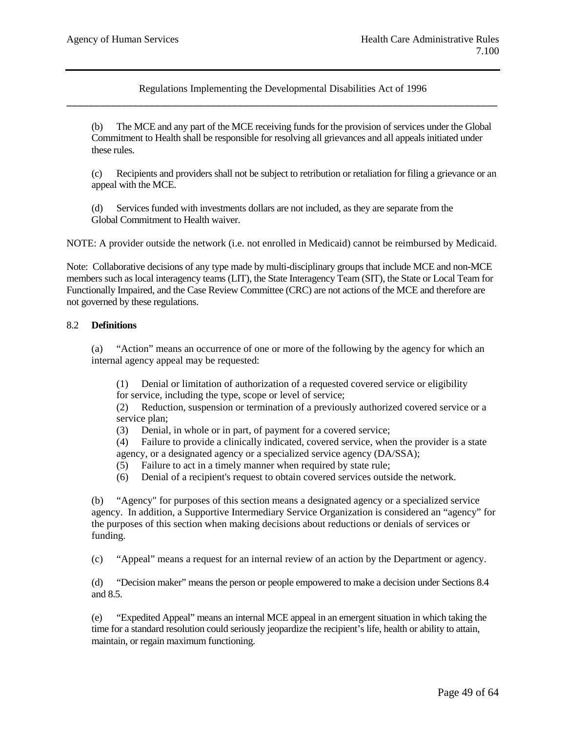(b) The MCE and any part of the MCE receiving funds for the provision of services under the Global Commitment to Health shall be responsible for resolving all grievances and all appeals initiated under these rules.

(c) Recipients and providers shall not be subject to retribution or retaliation for filing a grievance or an appeal with the MCE.

(d) Services funded with investments dollars are not included, as they are separate from the Global Commitment to Health waiver.

NOTE: A provider outside the network (i.e. not enrolled in Medicaid) cannot be reimbursed by Medicaid.

Note: Collaborative decisions of any type made by multi-disciplinary groups that include MCE and non-MCE members such as local interagency teams (LIT), the State Interagency Team (SIT), the State or Local Team for Functionally Impaired, and the Case Review Committee (CRC) are not actions of the MCE and therefore are not governed by these regulations.

### 8.2 **Definitions**

(a) "Action" means an occurrence of one or more of the following by the agency for which an internal agency appeal may be requested:

(1) Denial or limitation of authorization of a requested covered service or eligibility

for service, including the type, scope or level of service;

(2) Reduction, suspension or termination of a previously authorized covered service or a service plan;

(3) Denial, in whole or in part, of payment for a covered service;

(4) Failure to provide a clinically indicated, covered service, when the provider is a state agency, or a designated agency or a specialized service agency (DA/SSA);

(5) Failure to act in a timely manner when required by state rule;

(6) Denial of a recipient's request to obtain covered services outside the network.

(b) "Agency" for purposes of this section means a designated agency or a specialized service agency. In addition, a Supportive Intermediary Service Organization is considered an "agency" for the purposes of this section when making decisions about reductions or denials of services or funding.

(c) "Appeal" means a request for an internal review of an action by the Department or agency.

(d) "Decision maker" means the person or people empowered to make a decision under Sections 8.4 and 8.5.

(e) "Expedited Appeal" means an internal MCE appeal in an emergent situation in which taking the time for a standard resolution could seriously jeopardize the recipient's life, health or ability to attain, maintain, or regain maximum functioning.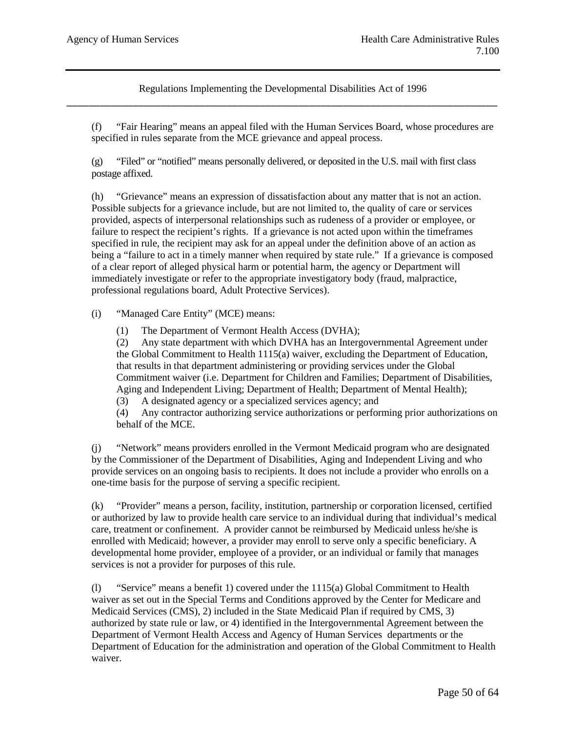(f) "Fair Hearing" means an appeal filed with the Human Services Board, whose procedures are specified in rules separate from the MCE grievance and appeal process.

(g) "Filed" or "notified" means personally delivered, or deposited in the U.S. mail with first class postage affixed.

(h) "Grievance" means an expression of dissatisfaction about any matter that is not an action. Possible subjects for a grievance include, but are not limited to, the quality of care or services provided, aspects of interpersonal relationships such as rudeness of a provider or employee, or failure to respect the recipient's rights. If a grievance is not acted upon within the timeframes specified in rule, the recipient may ask for an appeal under the definition above of an action as being a "failure to act in a timely manner when required by state rule." If a grievance is composed of a clear report of alleged physical harm or potential harm, the agency or Department will immediately investigate or refer to the appropriate investigatory body (fraud, malpractice, professional regulations board, Adult Protective Services).

(i) "Managed Care Entity" (MCE) means:

(1) The Department of Vermont Health Access (DVHA);

(2) Any state department with which DVHA has an Intergovernmental Agreement under the Global Commitment to Health 1115(a) waiver, excluding the Department of Education, that results in that department administering or providing services under the Global Commitment waiver (i.e. Department for Children and Families; Department of Disabilities, Aging and Independent Living; Department of Health; Department of Mental Health);

(3) A designated agency or a specialized services agency; and

(4) Any contractor authorizing service authorizations or performing prior authorizations on behalf of the MCE.

(j) "Network" means providers enrolled in the Vermont Medicaid program who are designated by the Commissioner of the Department of Disabilities, Aging and Independent Living and who provide services on an ongoing basis to recipients. It does not include a provider who enrolls on a one-time basis for the purpose of serving a specific recipient.

(k) "Provider" means a person, facility, institution, partnership or corporation licensed, certified or authorized by law to provide health care service to an individual during that individual's medical care, treatment or confinement. A provider cannot be reimbursed by Medicaid unless he/she is enrolled with Medicaid; however, a provider may enroll to serve only a specific beneficiary. A developmental home provider, employee of a provider, or an individual or family that manages services is not a provider for purposes of this rule.

(l) "Service" means a benefit 1) covered under the 1115(a) Global Commitment to Health waiver as set out in the Special Terms and Conditions approved by the Center for Medicare and Medicaid Services (CMS), 2) included in the State Medicaid Plan if required by CMS, 3) authorized by state rule or law, or 4) identified in the Intergovernmental Agreement between the Department of Vermont Health Access and Agency of Human Services departments or the Department of Education for the administration and operation of the Global Commitment to Health waiver.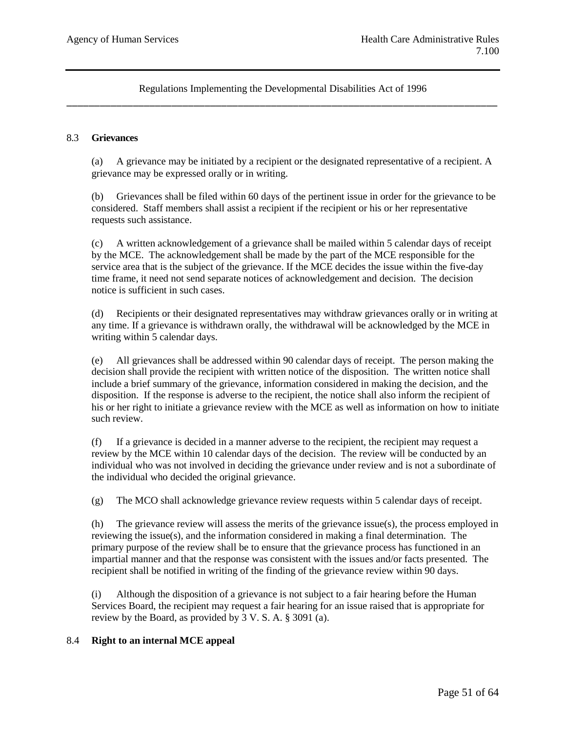#### 8.3 **Grievances**

(a) A grievance may be initiated by a recipient or the designated representative of a recipient. A grievance may be expressed orally or in writing.

(b) Grievances shall be filed within 60 days of the pertinent issue in order for the grievance to be considered. Staff members shall assist a recipient if the recipient or his or her representative requests such assistance.

(c) A written acknowledgement of a grievance shall be mailed within 5 calendar days of receipt by the MCE. The acknowledgement shall be made by the part of the MCE responsible for the service area that is the subject of the grievance. If the MCE decides the issue within the five-day time frame, it need not send separate notices of acknowledgement and decision. The decision notice is sufficient in such cases.

(d) Recipients or their designated representatives may withdraw grievances orally or in writing at any time. If a grievance is withdrawn orally, the withdrawal will be acknowledged by the MCE in writing within 5 calendar days.

(e) All grievances shall be addressed within 90 calendar days of receipt. The person making the decision shall provide the recipient with written notice of the disposition. The written notice shall include a brief summary of the grievance, information considered in making the decision, and the disposition. If the response is adverse to the recipient, the notice shall also inform the recipient of his or her right to initiate a grievance review with the MCE as well as information on how to initiate such review.

(f) If a grievance is decided in a manner adverse to the recipient, the recipient may request a review by the MCE within 10 calendar days of the decision. The review will be conducted by an individual who was not involved in deciding the grievance under review and is not a subordinate of the individual who decided the original grievance.

(g) The MCO shall acknowledge grievance review requests within 5 calendar days of receipt.

(h) The grievance review will assess the merits of the grievance issue(s), the process employed in reviewing the issue(s), and the information considered in making a final determination. The primary purpose of the review shall be to ensure that the grievance process has functioned in an impartial manner and that the response was consistent with the issues and/or facts presented. The recipient shall be notified in writing of the finding of the grievance review within 90 days.

(i) Although the disposition of a grievance is not subject to a fair hearing before the Human Services Board, the recipient may request a fair hearing for an issue raised that is appropriate for review by the Board, as provided by 3 V. S. A. § 3091 (a).

### 8.4 **Right to an internal MCE appeal**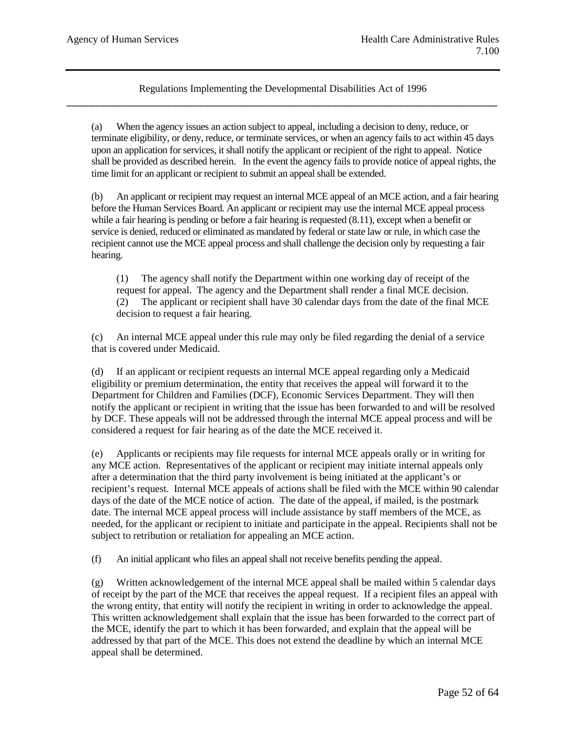(a) When the agency issues an action subject to appeal, including a decision to deny, reduce, or terminate eligibility, or deny, reduce, or terminate services, or when an agency fails to act within 45 days upon an application for services, it shall notify the applicant or recipient of the right to appeal. Notice shall be provided as described herein. In the event the agency fails to provide notice of appeal rights, the time limit for an applicant or recipient to submit an appeal shall be extended.

(b) An applicant or recipient may request an internal MCE appeal of an MCE action, and a fair hearing before the Human Services Board. An applicant or recipient may use the internal MCE appeal process while a fair hearing is pending or before a fair hearing is requested  $(8.11)$ , except when a benefit or service is denied, reduced or eliminated as mandated by federal or state law or rule, in which case the recipient cannot use the MCE appeal process and shall challenge the decision only by requesting a fair hearing.

(1) The agency shall notify the Department within one working day of receipt of the request for appeal. The agency and the Department shall render a final MCE decision. (2) The applicant or recipient shall have 30 calendar days from the date of the final MCE decision to request a fair hearing.

(c) An internal MCE appeal under this rule may only be filed regarding the denial of a service that is covered under Medicaid.

(d) If an applicant or recipient requests an internal MCE appeal regarding only a Medicaid eligibility or premium determination, the entity that receives the appeal will forward it to the Department for Children and Families (DCF), Economic Services Department. They will then notify the applicant or recipient in writing that the issue has been forwarded to and will be resolved by DCF. These appeals will not be addressed through the internal MCE appeal process and will be considered a request for fair hearing as of the date the MCE received it.

(e) Applicants or recipients may file requests for internal MCE appeals orally or in writing for any MCE action. Representatives of the applicant or recipient may initiate internal appeals only after a determination that the third party involvement is being initiated at the applicant's or recipient's request. Internal MCE appeals of actions shall be filed with the MCE within 90 calendar days of the date of the MCE notice of action. The date of the appeal, if mailed, is the postmark date. The internal MCE appeal process will include assistance by staff members of the MCE, as needed, for the applicant or recipient to initiate and participate in the appeal. Recipients shall not be subject to retribution or retaliation for appealing an MCE action.

(f) An initial applicant who files an appeal shall not receive benefits pending the appeal.

(g) Written acknowledgement of the internal MCE appeal shall be mailed within 5 calendar days of receipt by the part of the MCE that receives the appeal request. If a recipient files an appeal with the wrong entity, that entity will notify the recipient in writing in order to acknowledge the appeal. This written acknowledgement shall explain that the issue has been forwarded to the correct part of the MCE, identify the part to which it has been forwarded, and explain that the appeal will be addressed by that part of the MCE. This does not extend the deadline by which an internal MCE appeal shall be determined.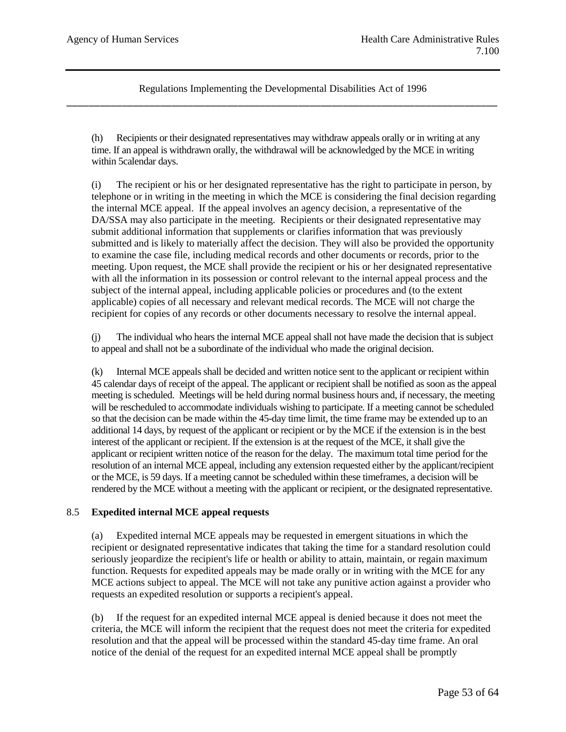(h) Recipients or their designated representatives may withdraw appeals orally or in writing at any time. If an appeal is withdrawn orally, the withdrawal will be acknowledged by the MCE in writing within 5calendar days.

(i) The recipient or his or her designated representative has the right to participate in person, by telephone or in writing in the meeting in which the MCE is considering the final decision regarding the internal MCE appeal. If the appeal involves an agency decision, a representative of the DA/SSA may also participate in the meeting. Recipients or their designated representative may submit additional information that supplements or clarifies information that was previously submitted and is likely to materially affect the decision. They will also be provided the opportunity to examine the case file, including medical records and other documents or records, prior to the meeting. Upon request, the MCE shall provide the recipient or his or her designated representative with all the information in its possession or control relevant to the internal appeal process and the subject of the internal appeal, including applicable policies or procedures and (to the extent applicable) copies of all necessary and relevant medical records. The MCE will not charge the recipient for copies of any records or other documents necessary to resolve the internal appeal.

(j) The individual who hears the internal MCE appeal shall not have made the decision that is subject to appeal and shall not be a subordinate of the individual who made the original decision.

(k) Internal MCE appeals shall be decided and written notice sent to the applicant or recipient within 45 calendar days of receipt of the appeal. The applicant or recipient shall be notified as soon as the appeal meeting is scheduled. Meetings will be held during normal business hours and, if necessary, the meeting will be rescheduled to accommodate individuals wishing to participate. If a meeting cannot be scheduled so that the decision can be made within the 45-day time limit, the time frame may be extended up to an additional 14 days, by request of the applicant or recipient or by the MCE if the extension is in the best interest of the applicant or recipient. If the extension is at the request of the MCE, it shall give the applicant or recipient written notice of the reason for the delay. The maximum total time period for the resolution of an internal MCE appeal, including any extension requested either by the applicant/recipient or the MCE, is 59 days. If a meeting cannot be scheduled within these timeframes, a decision will be rendered by the MCE without a meeting with the applicant or recipient, or the designated representative.

### 8.5 **Expedited internal MCE appeal requests**

(a) Expedited internal MCE appeals may be requested in emergent situations in which the recipient or designated representative indicates that taking the time for a standard resolution could seriously jeopardize the recipient's life or health or ability to attain, maintain, or regain maximum function. Requests for expedited appeals may be made orally or in writing with the MCE for any MCE actions subject to appeal. The MCE will not take any punitive action against a provider who requests an expedited resolution or supports a recipient's appeal.

(b) If the request for an expedited internal MCE appeal is denied because it does not meet the criteria, the MCE will inform the recipient that the request does not meet the criteria for expedited resolution and that the appeal will be processed within the standard 45-day time frame. An oral notice of the denial of the request for an expedited internal MCE appeal shall be promptly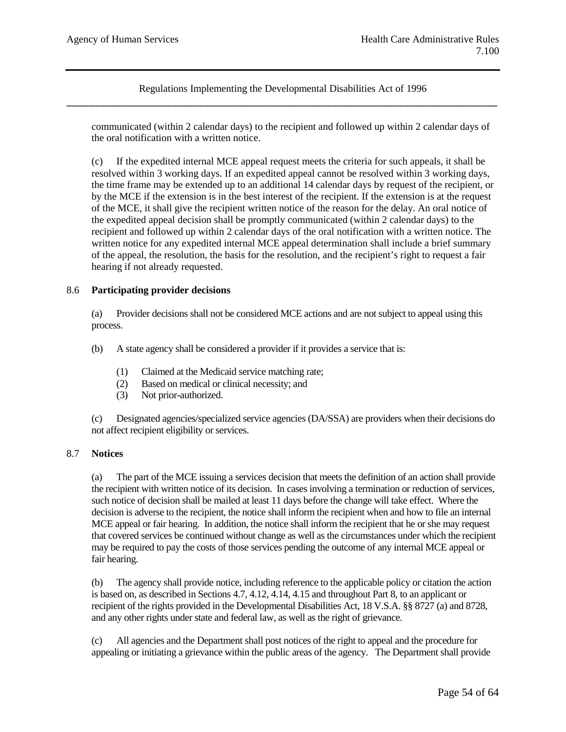communicated (within 2 calendar days) to the recipient and followed up within 2 calendar days of the oral notification with a written notice.

(c) If the expedited internal MCE appeal request meets the criteria for such appeals, it shall be resolved within 3 working days. If an expedited appeal cannot be resolved within 3 working days, the time frame may be extended up to an additional 14 calendar days by request of the recipient, or by the MCE if the extension is in the best interest of the recipient. If the extension is at the request of the MCE, it shall give the recipient written notice of the reason for the delay. An oral notice of the expedited appeal decision shall be promptly communicated (within 2 calendar days) to the recipient and followed up within 2 calendar days of the oral notification with a written notice. The written notice for any expedited internal MCE appeal determination shall include a brief summary of the appeal, the resolution, the basis for the resolution, and the recipient's right to request a fair hearing if not already requested.

## 8.6 **Participating provider decisions**

(a) Provider decisions shall not be considered MCE actions and are not subject to appeal using this process.

(b) A state agency shall be considered a provider if it provides a service that is:

- (1) Claimed at the Medicaid service matching rate;
- (2) Based on medical or clinical necessity; and
- (3) Not prior-authorized.

(c) Designated agencies/specialized service agencies (DA/SSA) are providers when their decisions do not affect recipient eligibility or services.

### 8.7 **Notices**

(a) The part of the MCE issuing a services decision that meets the definition of an action shall provide the recipient with written notice of its decision. In cases involving a termination or reduction of services, such notice of decision shall be mailed at least 11 days before the change will take effect. Where the decision is adverse to the recipient, the notice shall inform the recipient when and how to file an internal MCE appeal or fair hearing. In addition, the notice shall inform the recipient that he or she may request that covered services be continued without change as well as the circumstances under which the recipient may be required to pay the costs of those services pending the outcome of any internal MCE appeal or fair hearing.

(b) The agency shall provide notice, including reference to the applicable policy or citation the action is based on, as described in Sections 4.7, 4.12, 4.14, 4.15 and throughout Part 8, to an applicant or recipient of the rights provided in the Developmental Disabilities Act, 18 V.S.A. §§ 8727 (a) and 8728, and any other rights under state and federal law, as well as the right of grievance.

All agencies and the Department shall post notices of the right to appeal and the procedure for appealing or initiating a grievance within the public areas of the agency. The Department shall provide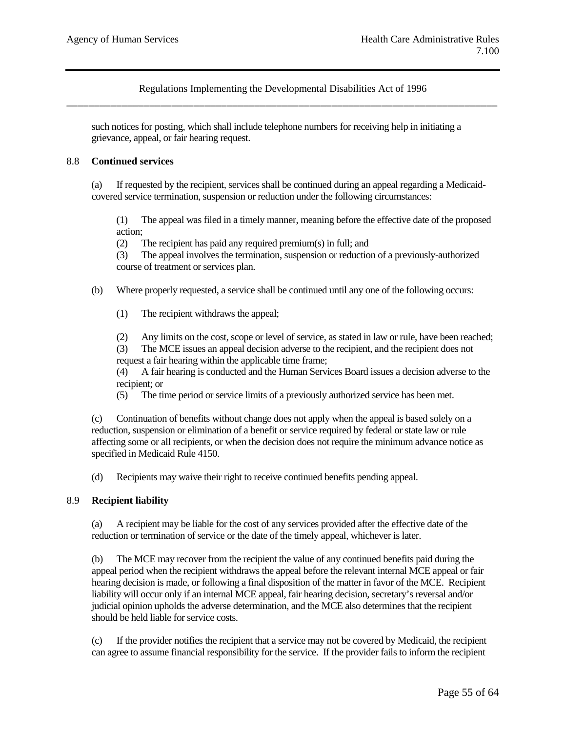such notices for posting, which shall include telephone numbers for receiving help in initiating a grievance, appeal, or fair hearing request.

#### 8.8 **Continued services**

(a) If requested by the recipient, services shall be continued during an appeal regarding a Medicaidcovered service termination, suspension or reduction under the following circumstances:

(1) The appeal was filed in a timely manner, meaning before the effective date of the proposed action;

(2) The recipient has paid any required premium(s) in full; and

(3) The appeal involves the termination, suspension or reduction of a previously-authorized course of treatment or services plan.

(b) Where properly requested, a service shall be continued until any one of the following occurs:

(1) The recipient withdraws the appeal;

(2) Any limits on the cost, scope or level of service, as stated in law or rule, have been reached;

(3) The MCE issues an appeal decision adverse to the recipient, and the recipient does not request a fair hearing within the applicable time frame;

(4) A fair hearing is conducted and the Human Services Board issues a decision adverse to the recipient; or

(5) The time period or service limits of a previously authorized service has been met.

(c) Continuation of benefits without change does not apply when the appeal is based solely on a reduction, suspension or elimination of a benefit or service required by federal or state law or rule affecting some or all recipients, or when the decision does not require the minimum advance notice as specified in Medicaid Rule 4150.

(d) Recipients may waive their right to receive continued benefits pending appeal.

### 8.9 **Recipient liability**

(a) A recipient may be liable for the cost of any services provided after the effective date of the reduction or termination of service or the date of the timely appeal, whichever is later.

(b) The MCE may recover from the recipient the value of any continued benefits paid during the appeal period when the recipient withdraws the appeal before the relevant internal MCE appeal or fair hearing decision is made, or following a final disposition of the matter in favor of the MCE. Recipient liability will occur only if an internal MCE appeal, fair hearing decision, secretary's reversal and/or judicial opinion upholds the adverse determination, and the MCE also determines that the recipient should be held liable for service costs.

(c) If the provider notifies the recipient that a service may not be covered by Medicaid, the recipient can agree to assume financial responsibility for the service. If the provider fails to inform the recipient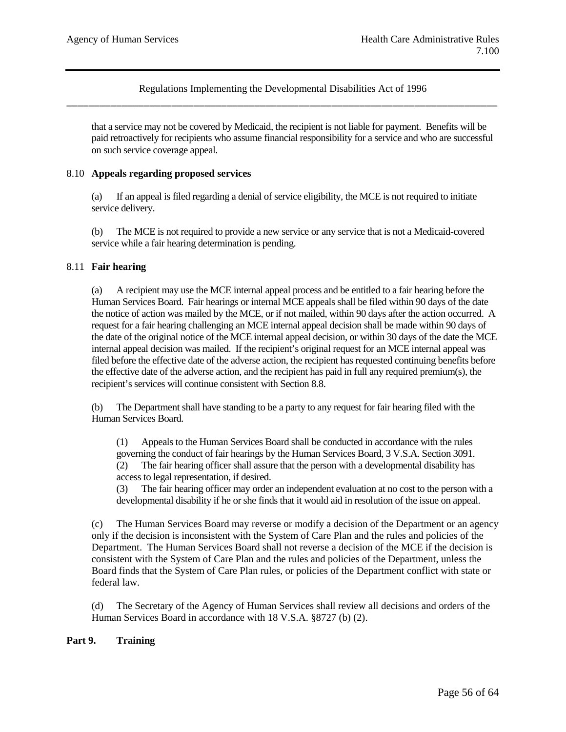that a service may not be covered by Medicaid, the recipient is not liable for payment. Benefits will be paid retroactively for recipients who assume financial responsibility for a service and who are successful on such service coverage appeal.

### 8.10 **Appeals regarding proposed services**

(a) If an appeal is filed regarding a denial of service eligibility, the MCE is not required to initiate service delivery.

(b) The MCE is not required to provide a new service or any service that is not a Medicaid-covered service while a fair hearing determination is pending.

### 8.11 **Fair hearing**

(a) A recipient may use the MCE internal appeal process and be entitled to a fair hearing before the Human Services Board. Fair hearings or internal MCE appeals shall be filed within 90 days of the date the notice of action was mailed by the MCE, or if not mailed, within 90 days after the action occurred. A request for a fair hearing challenging an MCE internal appeal decision shall be made within 90 days of the date of the original notice of the MCE internal appeal decision, or within 30 days of the date the MCE internal appeal decision was mailed. If the recipient's original request for an MCE internal appeal was filed before the effective date of the adverse action, the recipient has requested continuing benefits before the effective date of the adverse action, and the recipient has paid in full any required premium(s), the recipient's services will continue consistent with Section 8.8.

The Department shall have standing to be a party to any request for fair hearing filed with the Human Services Board.

(1) Appeals to the Human Services Board shall be conducted in accordance with the rules governing the conduct of fair hearings by the Human Services Board, 3 V.S.A. Section 3091. (2) The fair hearing officer shall assure that the person with a developmental disability has access to legal representation, if desired.

(3) The fair hearing officer may order an independent evaluation at no cost to the person with a developmental disability if he or she finds that it would aid in resolution of the issue on appeal.

(c) The Human Services Board may reverse or modify a decision of the Department or an agency only if the decision is inconsistent with the System of Care Plan and the rules and policies of the Department. The Human Services Board shall not reverse a decision of the MCE if the decision is consistent with the System of Care Plan and the rules and policies of the Department, unless the Board finds that the System of Care Plan rules, or policies of the Department conflict with state or federal law.

(d) The Secretary of the Agency of Human Services shall review all decisions and orders of the Human Services Board in accordance with 18 V.S.A. §8727 (b) (2).

## **Part 9. Training**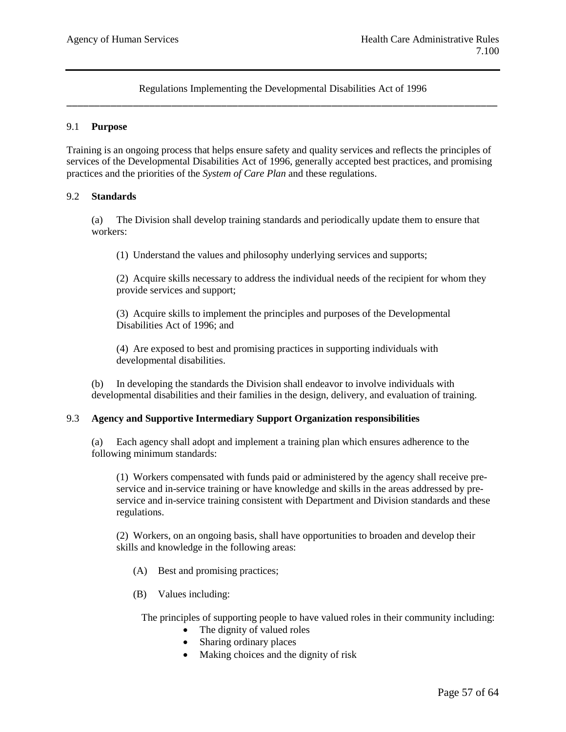#### 9.1 **Purpose**

Training is an ongoing process that helps ensure safety and quality services and reflects the principles of services of the Developmental Disabilities Act of 1996, generally accepted best practices, and promising practices and the priorities of the *System of Care Plan* and these regulations.

#### 9.2 **Standards**

(a) The Division shall develop training standards and periodically update them to ensure that workers:

(1) Understand the values and philosophy underlying services and supports;

(2) Acquire skills necessary to address the individual needs of the recipient for whom they provide services and support;

(3) Acquire skills to implement the principles and purposes of the Developmental Disabilities Act of 1996; and

(4) Are exposed to best and promising practices in supporting individuals with developmental disabilities.

(b) In developing the standards the Division shall endeavor to involve individuals with developmental disabilities and their families in the design, delivery, and evaluation of training.

### 9.3 **Agency and Supportive Intermediary Support Organization responsibilities**

(a) Each agency shall adopt and implement a training plan which ensures adherence to the following minimum standards:

(1) Workers compensated with funds paid or administered by the agency shall receive preservice and in-service training or have knowledge and skills in the areas addressed by preservice and in-service training consistent with Department and Division standards and these regulations.

(2) Workers, on an ongoing basis, shall have opportunities to broaden and develop their skills and knowledge in the following areas:

- (A) Best and promising practices;
- (B) Values including:

The principles of supporting people to have valued roles in their community including:

- The dignity of valued roles
- Sharing ordinary places
- Making choices and the dignity of risk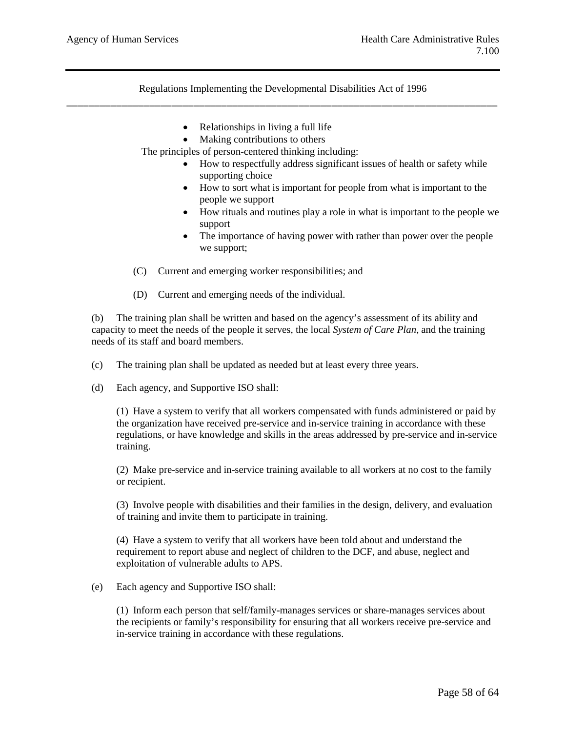- Relationships in living a full life
- Making contributions to others

The principles of person-centered thinking including:

- How to respectfully address significant issues of health or safety while supporting choice
- How to sort what is important for people from what is important to the people we support
- How rituals and routines play a role in what is important to the people we support
- The importance of having power with rather than power over the people we support;
- (C) Current and emerging worker responsibilities; and
- (D) Current and emerging needs of the individual.

(b) The training plan shall be written and based on the agency's assessment of its ability and capacity to meet the needs of the people it serves, the local *System of Care Plan*, and the training needs of its staff and board members.

- (c) The training plan shall be updated as needed but at least every three years.
- (d) Each agency, and Supportive ISO shall:

(1) Have a system to verify that all workers compensated with funds administered or paid by the organization have received pre-service and in-service training in accordance with these regulations, or have knowledge and skills in the areas addressed by pre-service and in-service training.

(2) Make pre-service and in-service training available to all workers at no cost to the family or recipient.

(3) Involve people with disabilities and their families in the design, delivery, and evaluation of training and invite them to participate in training.

(4) Have a system to verify that all workers have been told about and understand the requirement to report abuse and neglect of children to the DCF, and abuse, neglect and exploitation of vulnerable adults to APS.

(e) Each agency and Supportive ISO shall:

(1) Inform each person that self/family-manages services or share-manages services about the recipients or family's responsibility for ensuring that all workers receive pre-service and in-service training in accordance with these regulations.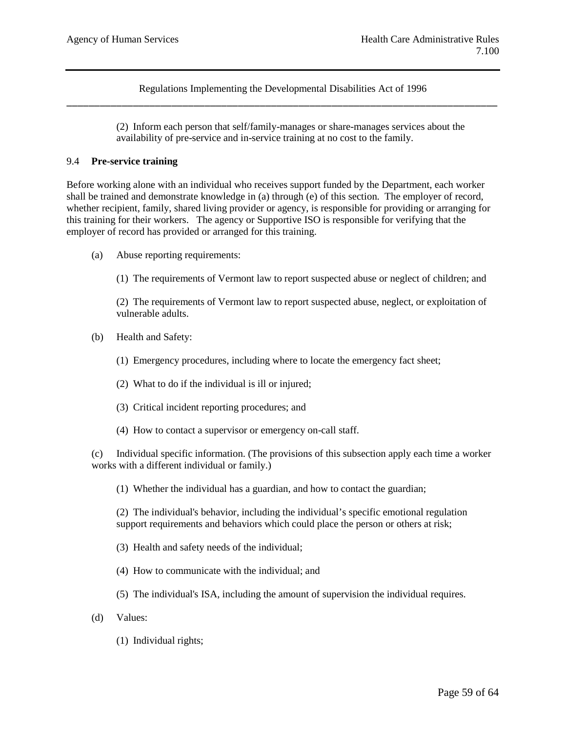> (2) Inform each person that self/family-manages or share-manages services about the availability of pre-service and in-service training at no cost to the family.

#### 9.4 **Pre-service training**

Before working alone with an individual who receives support funded by the Department, each worker shall be trained and demonstrate knowledge in (a) through (e) of this section. The employer of record, whether recipient, family, shared living provider or agency, is responsible for providing or arranging for this training for their workers. The agency or Supportive ISO is responsible for verifying that the employer of record has provided or arranged for this training.

(a) Abuse reporting requirements:

(1) The requirements of Vermont law to report suspected abuse or neglect of children; and

(2) The requirements of Vermont law to report suspected abuse, neglect, or exploitation of vulnerable adults.

- (b) Health and Safety:
	- (1) Emergency procedures, including where to locate the emergency fact sheet;
	- (2) What to do if the individual is ill or injured;
	- (3) Critical incident reporting procedures; and
	- (4) How to contact a supervisor or emergency on-call staff.

(c) Individual specific information. (The provisions of this subsection apply each time a worker works with a different individual or family.)

(1) Whether the individual has a guardian, and how to contact the guardian;

(2) The individual's behavior, including the individual's specific emotional regulation support requirements and behaviors which could place the person or others at risk;

- (3) Health and safety needs of the individual;
- (4) How to communicate with the individual; and
- (5) The individual's ISA, including the amount of supervision the individual requires.
- (d) Values:
	- (1) Individual rights;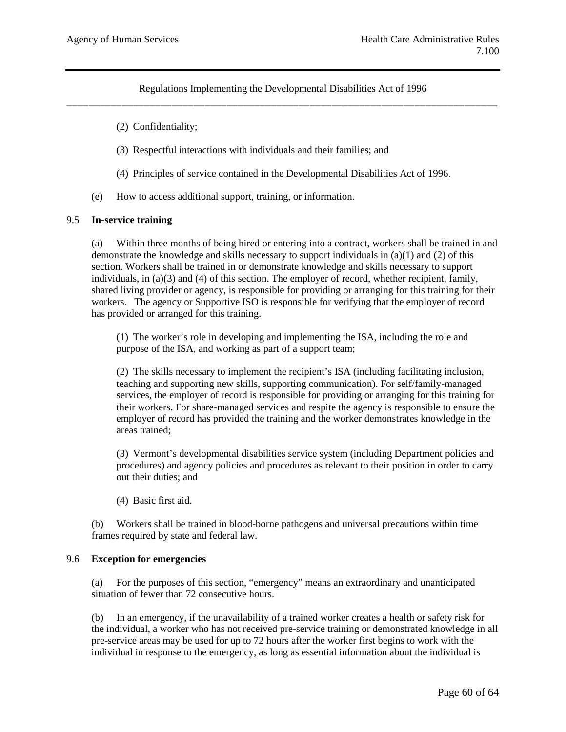- (2) Confidentiality;
- (3) Respectful interactions with individuals and their families; and
- (4) Principles of service contained in the Developmental Disabilities Act of 1996.
- (e) How to access additional support, training, or information.

#### 9.5 **In-service training**

(a) Within three months of being hired or entering into a contract, workers shall be trained in and demonstrate the knowledge and skills necessary to support individuals in (a)(1) and (2) of this section. Workers shall be trained in or demonstrate knowledge and skills necessary to support individuals, in  $(a)(3)$  and  $(4)$  of this section. The employer of record, whether recipient, family, shared living provider or agency, is responsible for providing or arranging for this training for their workers. The agency or Supportive ISO is responsible for verifying that the employer of record has provided or arranged for this training.

(1) The worker's role in developing and implementing the ISA, including the role and purpose of the ISA, and working as part of a support team;

(2) The skills necessary to implement the recipient's ISA (including facilitating inclusion, teaching and supporting new skills, supporting communication). For self/family-managed services, the employer of record is responsible for providing or arranging for this training for their workers. For share-managed services and respite the agency is responsible to ensure the employer of record has provided the training and the worker demonstrates knowledge in the areas trained;

(3) Vermont's developmental disabilities service system (including Department policies and procedures) and agency policies and procedures as relevant to their position in order to carry out their duties; and

(4) Basic first aid.

(b) Workers shall be trained in blood-borne pathogens and universal precautions within time frames required by state and federal law.

### 9.6 **Exception for emergencies**

(a) For the purposes of this section, "emergency" means an extraordinary and unanticipated situation of fewer than 72 consecutive hours.

(b) In an emergency, if the unavailability of a trained worker creates a health or safety risk for the individual, a worker who has not received pre-service training or demonstrated knowledge in all pre-service areas may be used for up to 72 hours after the worker first begins to work with the individual in response to the emergency, as long as essential information about the individual is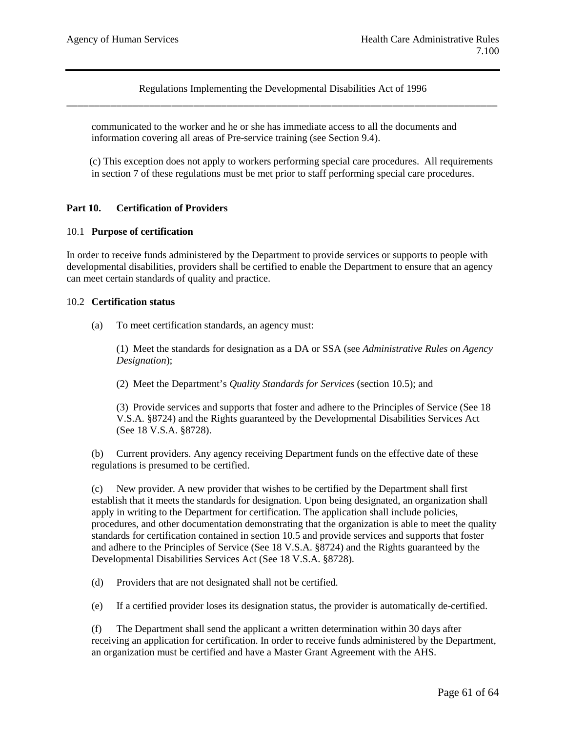communicated to the worker and he or she has immediate access to all the documents and information covering all areas of Pre-service training (see Section 9.4).

 (c) This exception does not apply to workers performing special care procedures. All requirements in section 7 of these regulations must be met prior to staff performing special care procedures.

## **Part 10. Certification of Providers**

### 10.1 **Purpose of certification**

In order to receive funds administered by the Department to provide services or supports to people with developmental disabilities, providers shall be certified to enable the Department to ensure that an agency can meet certain standards of quality and practice.

#### 10.2 **Certification status**

(a) To meet certification standards, an agency must:

(1) Meet the standards for designation as a DA or SSA (see *Administrative Rules on Agency Designation*);

(2) Meet the Department's *Quality Standards for Services* (section 10.5); and

(3) Provide services and supports that foster and adhere to the Principles of Service (See 18 V.S.A. §8724) and the Rights guaranteed by the Developmental Disabilities Services Act (See 18 V.S.A. §8728).

(b) Current providers. Any agency receiving Department funds on the effective date of these regulations is presumed to be certified.

(c) New provider. A new provider that wishes to be certified by the Department shall first establish that it meets the standards for designation. Upon being designated, an organization shall apply in writing to the Department for certification. The application shall include policies, procedures, and other documentation demonstrating that the organization is able to meet the quality standards for certification contained in section 10.5 and provide services and supports that foster and adhere to the Principles of Service (See 18 V.S.A. §8724) and the Rights guaranteed by the Developmental Disabilities Services Act (See 18 V.S.A. §8728).

(d) Providers that are not designated shall not be certified.

(e) If a certified provider loses its designation status, the provider is automatically de-certified.

(f) The Department shall send the applicant a written determination within 30 days after receiving an application for certification. In order to receive funds administered by the Department, an organization must be certified and have a Master Grant Agreement with the AHS.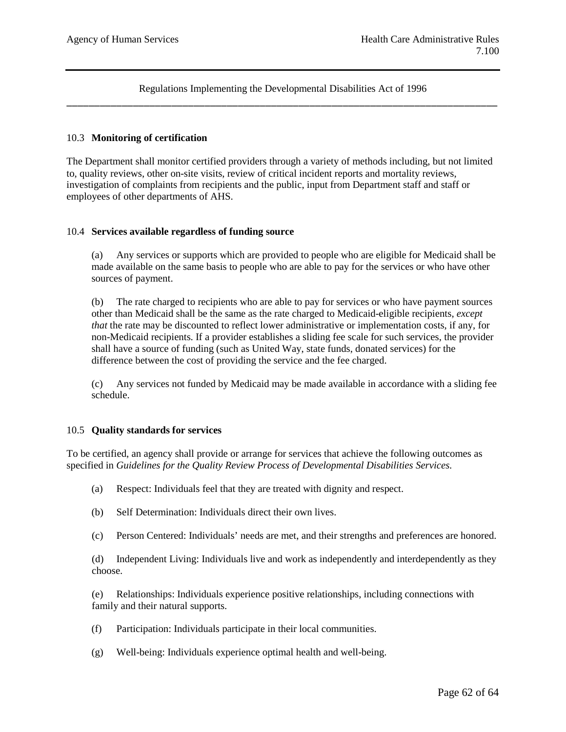### 10.3 **Monitoring of certification**

The Department shall monitor certified providers through a variety of methods including, but not limited to, quality reviews, other on-site visits, review of critical incident reports and mortality reviews, investigation of complaints from recipients and the public, input from Department staff and staff or employees of other departments of AHS.

#### 10.4 **Services available regardless of funding source**

(a) Any services or supports which are provided to people who are eligible for Medicaid shall be made available on the same basis to people who are able to pay for the services or who have other sources of payment.

(b) The rate charged to recipients who are able to pay for services or who have payment sources other than Medicaid shall be the same as the rate charged to Medicaid-eligible recipients, *except that* the rate may be discounted to reflect lower administrative or implementation costs, if any, for non-Medicaid recipients. If a provider establishes a sliding fee scale for such services, the provider shall have a source of funding (such as United Way, state funds, donated services) for the difference between the cost of providing the service and the fee charged.

(c) Any services not funded by Medicaid may be made available in accordance with a sliding fee schedule.

### 10.5 **Quality standards for services**

To be certified, an agency shall provide or arrange for services that achieve the following outcomes as specified in *Guidelines for the Quality Review Process of Developmental Disabilities Services.* 

- (a) Respect: Individuals feel that they are treated with dignity and respect.
- (b) Self Determination: Individuals direct their own lives.
- (c) Person Centered: Individuals' needs are met, and their strengths and preferences are honored.

(d) Independent Living: Individuals live and work as independently and interdependently as they choose.

(e) Relationships: Individuals experience positive relationships, including connections with family and their natural supports.

- (f) Participation: Individuals participate in their local communities.
- (g) Well-being: Individuals experience optimal health and well-being.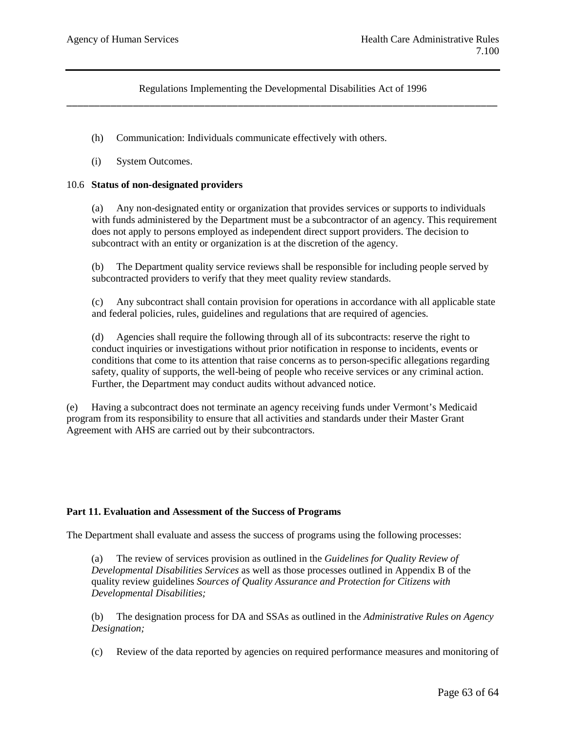- (h) Communication: Individuals communicate effectively with others.
- (i) System Outcomes.

### 10.6 **Status of non-designated providers**

(a) Any non-designated entity or organization that provides services or supports to individuals with funds administered by the Department must be a subcontractor of an agency. This requirement does not apply to persons employed as independent direct support providers. The decision to subcontract with an entity or organization is at the discretion of the agency.

(b) The Department quality service reviews shall be responsible for including people served by subcontracted providers to verify that they meet quality review standards.

(c) Any subcontract shall contain provision for operations in accordance with all applicable state and federal policies, rules, guidelines and regulations that are required of agencies.

(d) Agencies shall require the following through all of its subcontracts: reserve the right to conduct inquiries or investigations without prior notification in response to incidents, events or conditions that come to its attention that raise concerns as to person-specific allegations regarding safety, quality of supports, the well-being of people who receive services or any criminal action. Further, the Department may conduct audits without advanced notice.

(e) Having a subcontract does not terminate an agency receiving funds under Vermont's Medicaid program from its responsibility to ensure that all activities and standards under their Master Grant Agreement with AHS are carried out by their subcontractors.

### **Part 11. Evaluation and Assessment of the Success of Programs**

The Department shall evaluate and assess the success of programs using the following processes:

(a) The review of services provision as outlined in the *Guidelines for Quality Review of Developmental Disabilities Services* as well as those processes outlined in Appendix B of the quality review guidelines *Sources of Quality Assurance and Protection for Citizens with Developmental Disabilities;*

(b) The designation process for DA and SSAs as outlined in the *Administrative Rules on Agency Designation;*

(c) Review of the data reported by agencies on required performance measures and monitoring of